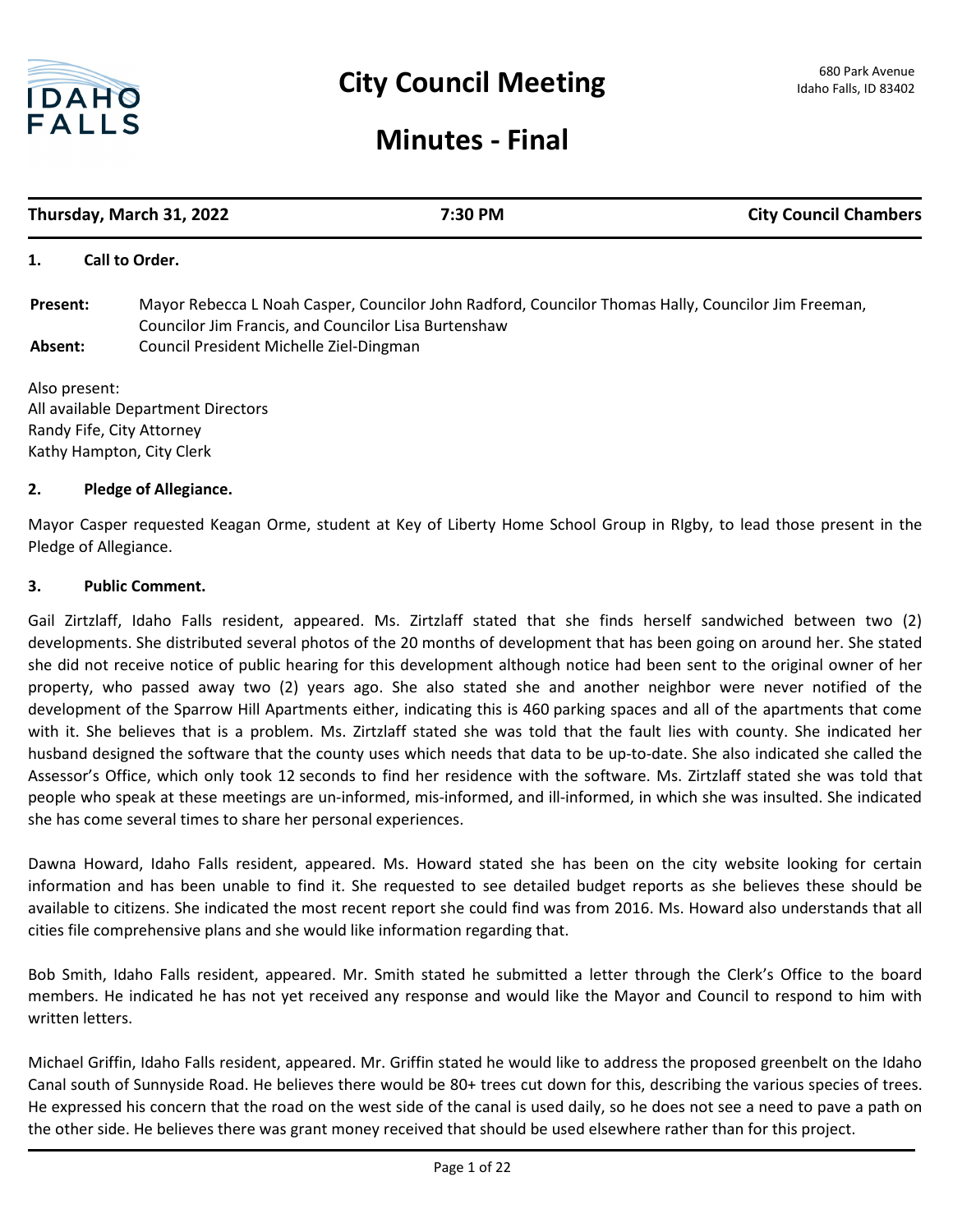

# **Minutes - Final**

| Thursday, March 31, 2022                           |                                                      | 7:30 PM                                                                                             | <b>City Council Chambers</b> |
|----------------------------------------------------|------------------------------------------------------|-----------------------------------------------------------------------------------------------------|------------------------------|
| 1.                                                 | Call to Order.                                       |                                                                                                     |                              |
| Present:                                           | Councilor Jim Francis, and Councilor Lisa Burtenshaw | Mayor Rebecca L Noah Casper, Councilor John Radford, Councilor Thomas Hally, Councilor Jim Freeman, |                              |
| Council President Michelle Ziel-Dingman<br>Absent: |                                                      |                                                                                                     |                              |
| Also present:                                      | All available Department Directors                   |                                                                                                     |                              |
|                                                    | Randy Fife, City Attorney                            |                                                                                                     |                              |
|                                                    | Kathy Hampton, City Clerk                            |                                                                                                     |                              |

## **2. Pledge of Allegiance.**

Mayor Casper requested Keagan Orme, student at Key of Liberty Home School Group in RIgby, to lead those present in the Pledge of Allegiance.

## **3. Public Comment.**

Gail Zirtzlaff, Idaho Falls resident, appeared. Ms. Zirtzlaff stated that she finds herself sandwiched between two (2) developments. She distributed several photos of the 20 months of development that has been going on around her. She stated she did not receive notice of public hearing for this development although notice had been sent to the original owner of her property, who passed away two (2) years ago. She also stated she and another neighbor were never notified of the development of the Sparrow Hill Apartments either, indicating this is 460 parking spaces and all of the apartments that come with it. She believes that is a problem. Ms. Zirtzlaff stated she was told that the fault lies with county. She indicated her husband designed the software that the county uses which needs that data to be up-to-date. She also indicated she called the Assessor's Office, which only took 12 seconds to find her residence with the software. Ms. Zirtzlaff stated she was told that people who speak at these meetings are un-informed, mis-informed, and ill-informed, in which she was insulted. She indicated she has come several times to share her personal experiences.

Dawna Howard, Idaho Falls resident, appeared. Ms. Howard stated she has been on the city website looking for certain information and has been unable to find it. She requested to see detailed budget reports as she believes these should be available to citizens. She indicated the most recent report she could find was from 2016. Ms. Howard also understands that all cities file comprehensive plans and she would like information regarding that.

Bob Smith, Idaho Falls resident, appeared. Mr. Smith stated he submitted a letter through the Clerk's Office to the board members. He indicated he has not yet received any response and would like the Mayor and Council to respond to him with written letters.

Michael Griffin, Idaho Falls resident, appeared. Mr. Griffin stated he would like to address the proposed greenbelt on the Idaho Canal south of Sunnyside Road. He believes there would be 80+ trees cut down for this, describing the various species of trees. He expressed his concern that the road on the west side of the canal is used daily, so he does not see a need to pave a path on the other side. He believes there was grant money received that should be used elsewhere rather than for this project.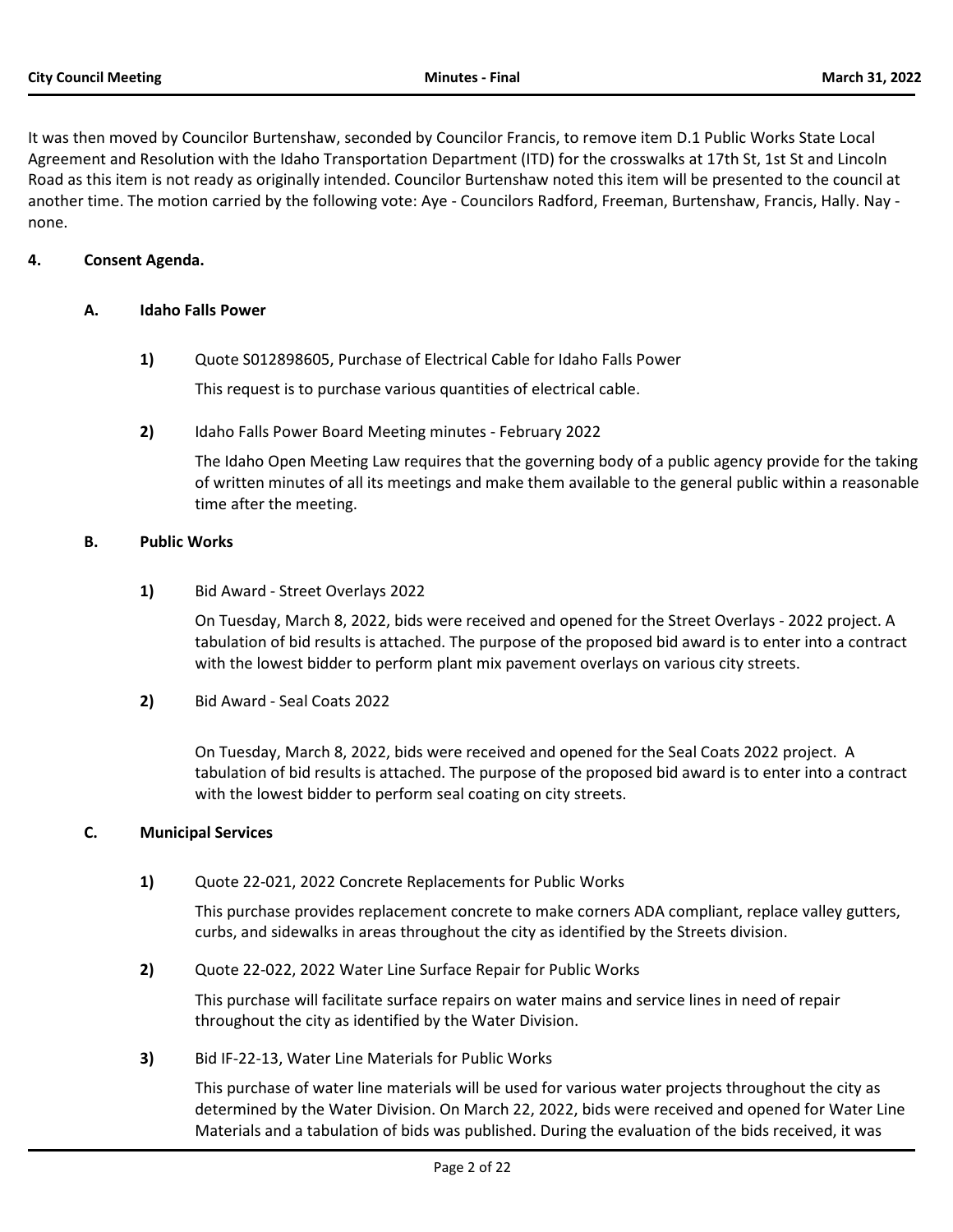It was then moved by Councilor Burtenshaw, seconded by Councilor Francis, to remove item D.1 Public Works State Local Agreement and Resolution with the Idaho Transportation Department (ITD) for the crosswalks at 17th St, 1st St and Lincoln Road as this item is not ready as originally intended. Councilor Burtenshaw noted this item will be presented to the council at another time. The motion carried by the following vote: Aye - Councilors Radford, Freeman, Burtenshaw, Francis, Hally. Nay none.

# **4. Consent Agenda.**

## **A. Idaho Falls Power**

**1)** Quote S012898605, Purchase of Electrical Cable for Idaho Falls Power

This request is to purchase various quantities of electrical cable.

**2)** Idaho Falls Power Board Meeting minutes - February 2022

The Idaho Open Meeting Law requires that the governing body of a public agency provide for the taking of written minutes of all its meetings and make them available to the general public within a reasonable time after the meeting.

## **B. Public Works**

**1)** Bid Award - Street Overlays 2022

On Tuesday, March 8, 2022, bids were received and opened for the Street Overlays - 2022 project. A tabulation of bid results is attached. The purpose of the proposed bid award is to enter into a contract with the lowest bidder to perform plant mix pavement overlays on various city streets.

**2)** Bid Award - Seal Coats 2022

On Tuesday, March 8, 2022, bids were received and opened for the Seal Coats 2022 project. A tabulation of bid results is attached. The purpose of the proposed bid award is to enter into a contract with the lowest bidder to perform seal coating on city streets.

# **C. Municipal Services**

**1)** Quote 22-021, 2022 Concrete Replacements for Public Works

This purchase provides replacement concrete to make corners ADA compliant, replace valley gutters, curbs, and sidewalks in areas throughout the city as identified by the Streets division.

**2)** Quote 22-022, 2022 Water Line Surface Repair for Public Works

This purchase will facilitate surface repairs on water mains and service lines in need of repair throughout the city as identified by the Water Division.

**3)** Bid IF-22-13, Water Line Materials for Public Works

This purchase of water line materials will be used for various water projects throughout the city as determined by the Water Division. On March 22, 2022, bids were received and opened for Water Line Materials and a tabulation of bids was published. During the evaluation of the bids received, it was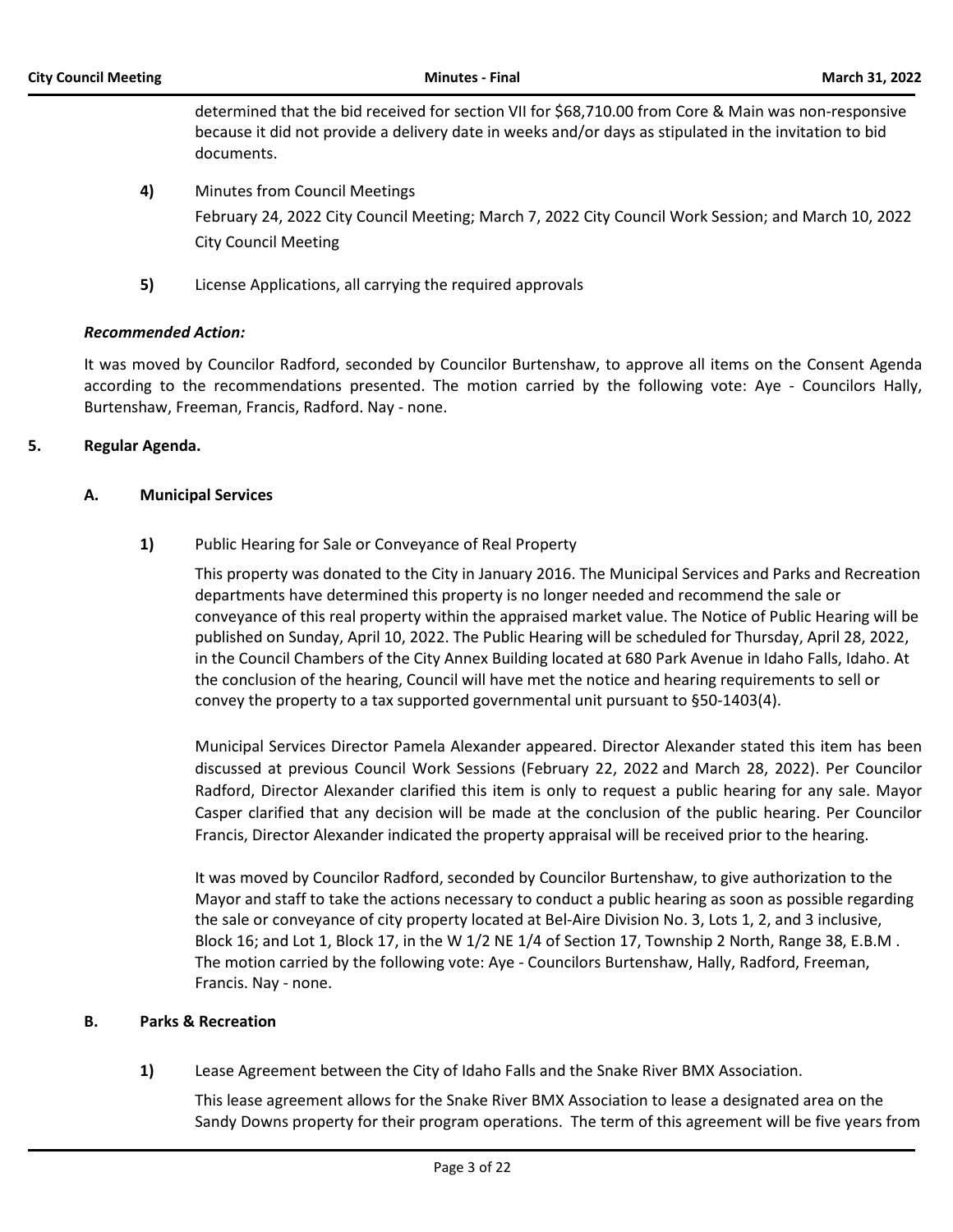determined that the bid received for section VII for \$68,710.00 from Core & Main was non-responsive because it did not provide a delivery date in weeks and/or days as stipulated in the invitation to bid documents.

- **4)** Minutes from Council Meetings February 24, 2022 City Council Meeting; March 7, 2022 City Council Work Session; and March 10, 2022 City Council Meeting
- **5)** License Applications, all carrying the required approvals

# *Recommended Action:*

It was moved by Councilor Radford, seconded by Councilor Burtenshaw, to approve all items on the Consent Agenda according to the recommendations presented. The motion carried by the following vote: Aye - Councilors Hally, Burtenshaw, Freeman, Francis, Radford. Nay - none.

# **5. Regular Agenda.**

# **A. Municipal Services**

**1)** Public Hearing for Sale or Conveyance of Real Property

This property was donated to the City in January 2016. The Municipal Services and Parks and Recreation departments have determined this property is no longer needed and recommend the sale or conveyance of this real property within the appraised market value. The Notice of Public Hearing will be published on Sunday, April 10, 2022. The Public Hearing will be scheduled for Thursday, April 28, 2022, in the Council Chambers of the City Annex Building located at 680 Park Avenue in Idaho Falls, Idaho. At the conclusion of the hearing, Council will have met the notice and hearing requirements to sell or convey the property to a tax supported governmental unit pursuant to §50-1403(4).

Municipal Services Director Pamela Alexander appeared. Director Alexander stated this item has been discussed at previous Council Work Sessions (February 22, 2022 and March 28, 2022). Per Councilor Radford, Director Alexander clarified this item is only to request a public hearing for any sale. Mayor Casper clarified that any decision will be made at the conclusion of the public hearing. Per Councilor Francis, Director Alexander indicated the property appraisal will be received prior to the hearing.

It was moved by Councilor Radford, seconded by Councilor Burtenshaw, to give authorization to the Mayor and staff to take the actions necessary to conduct a public hearing as soon as possible regarding the sale or conveyance of city property located at Bel-Aire Division No. 3, Lots 1, 2, and 3 inclusive, Block 16; and Lot 1, Block 17, in the W 1/2 NE 1/4 of Section 17, Township 2 North, Range 38, E.B.M . The motion carried by the following vote: Aye - Councilors Burtenshaw, Hally, Radford, Freeman, Francis. Nay - none.

# **B. Parks & Recreation**

**1)** Lease Agreement between the City of Idaho Falls and the Snake River BMX Association.

This lease agreement allows for the Snake River BMX Association to lease a designated area on the Sandy Downs property for their program operations. The term of this agreement will be five years from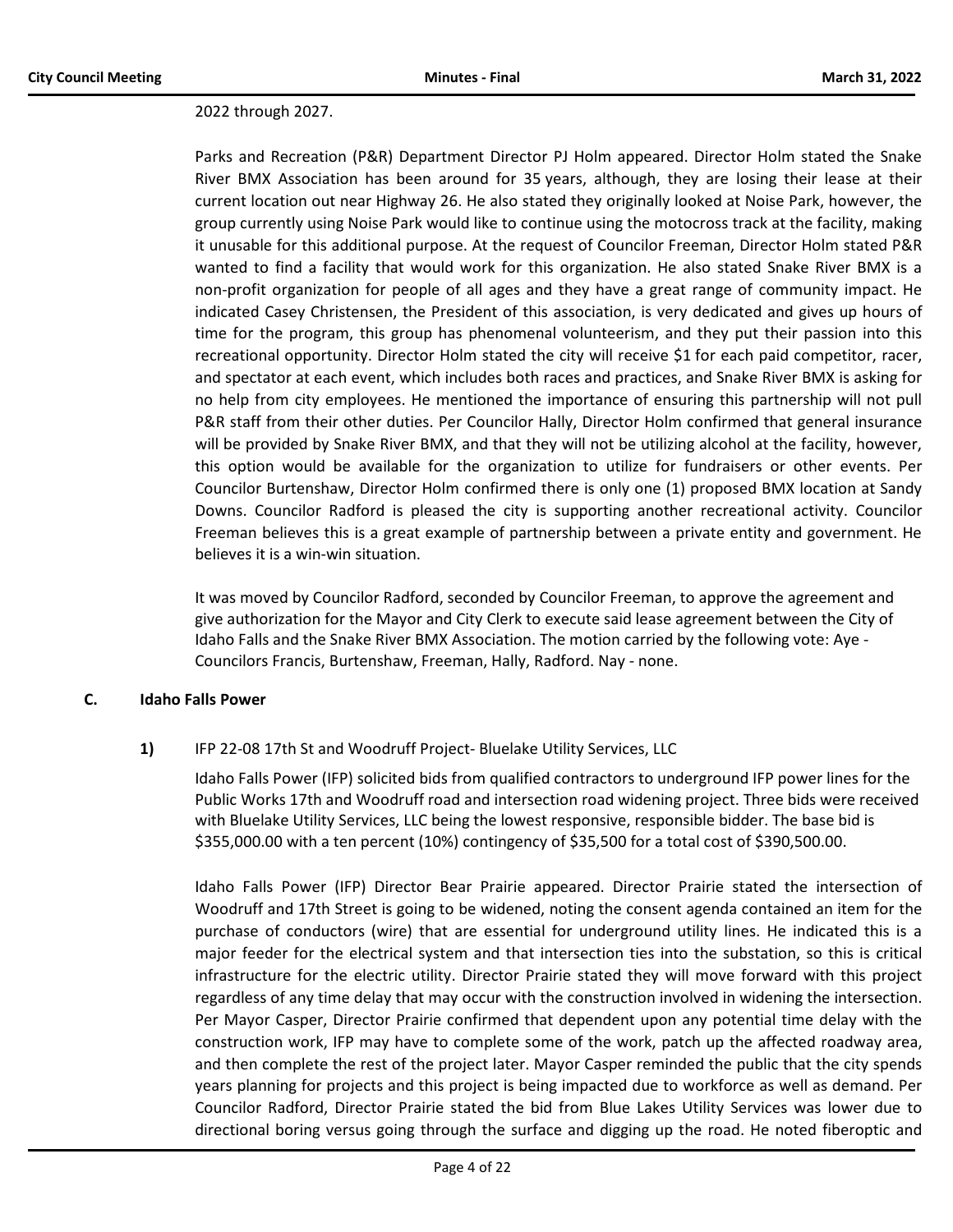#### 2022 through 2027.

Parks and Recreation (P&R) Department Director PJ Holm appeared. Director Holm stated the Snake River BMX Association has been around for 35 years, although, they are losing their lease at their current location out near Highway 26. He also stated they originally looked at Noise Park, however, the group currently using Noise Park would like to continue using the motocross track at the facility, making it unusable for this additional purpose. At the request of Councilor Freeman, Director Holm stated P&R wanted to find a facility that would work for this organization. He also stated Snake River BMX is a non-profit organization for people of all ages and they have a great range of community impact. He indicated Casey Christensen, the President of this association, is very dedicated and gives up hours of time for the program, this group has phenomenal volunteerism, and they put their passion into this recreational opportunity. Director Holm stated the city will receive \$1 for each paid competitor, racer, and spectator at each event, which includes both races and practices, and Snake River BMX is asking for no help from city employees. He mentioned the importance of ensuring this partnership will not pull P&R staff from their other duties. Per Councilor Hally, Director Holm confirmed that general insurance will be provided by Snake River BMX, and that they will not be utilizing alcohol at the facility, however, this option would be available for the organization to utilize for fundraisers or other events. Per Councilor Burtenshaw, Director Holm confirmed there is only one (1) proposed BMX location at Sandy Downs. Councilor Radford is pleased the city is supporting another recreational activity. Councilor Freeman believes this is a great example of partnership between a private entity and government. He believes it is a win-win situation.

It was moved by Councilor Radford, seconded by Councilor Freeman, to approve the agreement and give authorization for the Mayor and City Clerk to execute said lease agreement between the City of Idaho Falls and the Snake River BMX Association. The motion carried by the following vote: Aye - Councilors Francis, Burtenshaw, Freeman, Hally, Radford. Nay - none.

#### **C. Idaho Falls Power**

# **1)** IFP 22-08 17th St and Woodruff Project- Bluelake Utility Services, LLC

Idaho Falls Power (IFP) solicited bids from qualified contractors to underground IFP power lines for the Public Works 17th and Woodruff road and intersection road widening project. Three bids were received with Bluelake Utility Services, LLC being the lowest responsive, responsible bidder. The base bid is \$355,000.00 with a ten percent (10%) contingency of \$35,500 for a total cost of \$390,500.00.

Idaho Falls Power (IFP) Director Bear Prairie appeared. Director Prairie stated the intersection of Woodruff and 17th Street is going to be widened, noting the consent agenda contained an item for the purchase of conductors (wire) that are essential for underground utility lines. He indicated this is a major feeder for the electrical system and that intersection ties into the substation, so this is critical infrastructure for the electric utility. Director Prairie stated they will move forward with this project regardless of any time delay that may occur with the construction involved in widening the intersection. Per Mayor Casper, Director Prairie confirmed that dependent upon any potential time delay with the construction work, IFP may have to complete some of the work, patch up the affected roadway area, and then complete the rest of the project later. Mayor Casper reminded the public that the city spends years planning for projects and this project is being impacted due to workforce as well as demand. Per Councilor Radford, Director Prairie stated the bid from Blue Lakes Utility Services was lower due to directional boring versus going through the surface and digging up the road. He noted fiberoptic and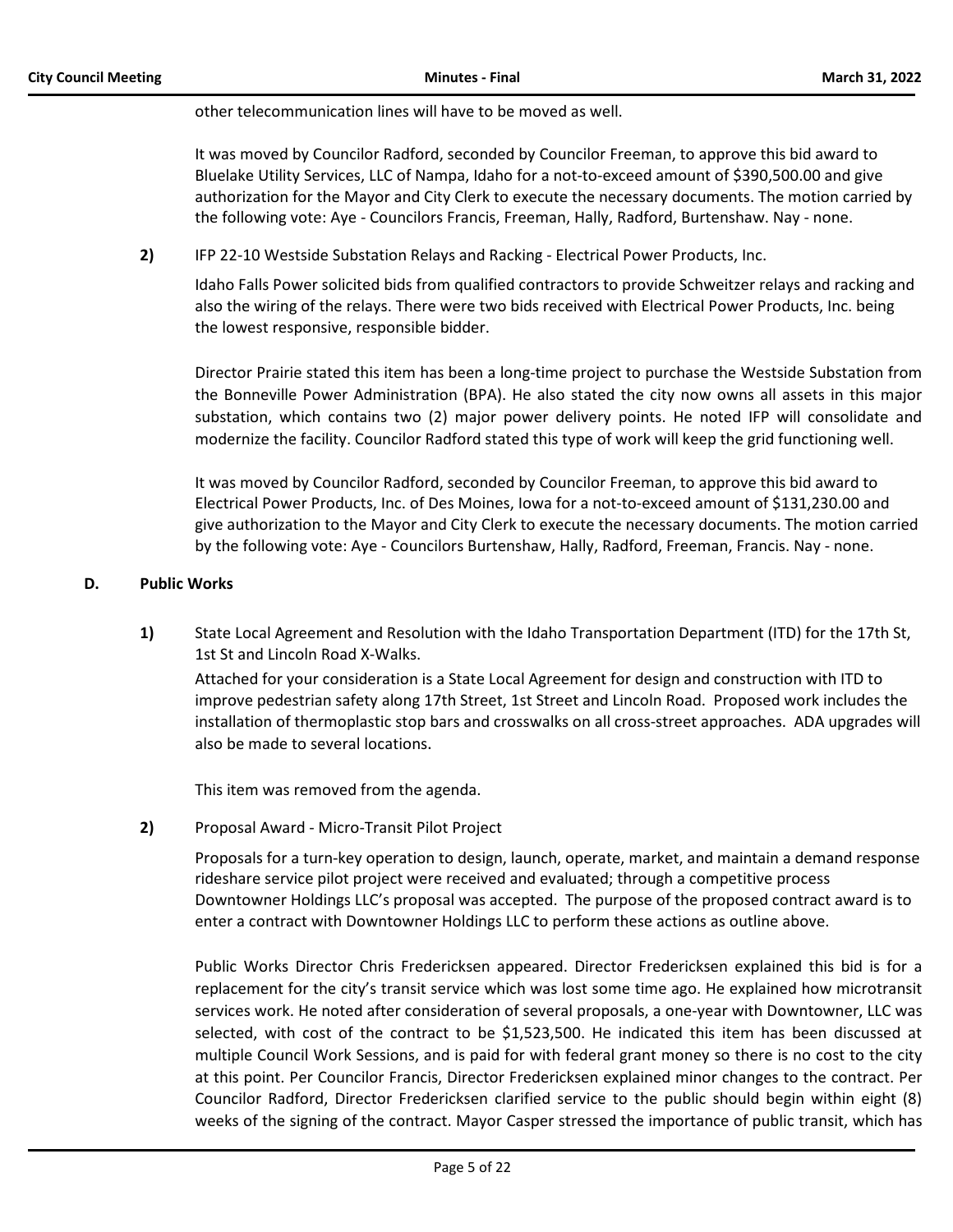other telecommunication lines will have to be moved as well.

It was moved by Councilor Radford, seconded by Councilor Freeman, to approve this bid award to Bluelake Utility Services, LLC of Nampa, Idaho for a not-to-exceed amount of \$390,500.00 and give authorization for the Mayor and City Clerk to execute the necessary documents. The motion carried by the following vote: Aye - Councilors Francis, Freeman, Hally, Radford, Burtenshaw. Nay - none.

**2)** IFP 22-10 Westside Substation Relays and Racking - Electrical Power Products, Inc.

Idaho Falls Power solicited bids from qualified contractors to provide Schweitzer relays and racking and also the wiring of the relays. There were two bids received with Electrical Power Products, Inc. being the lowest responsive, responsible bidder.

Director Prairie stated this item has been a long-time project to purchase the Westside Substation from the Bonneville Power Administration (BPA). He also stated the city now owns all assets in this major substation, which contains two (2) major power delivery points. He noted IFP will consolidate and modernize the facility. Councilor Radford stated this type of work will keep the grid functioning well.

It was moved by Councilor Radford, seconded by Councilor Freeman, to approve this bid award to Electrical Power Products, Inc. of Des Moines, Iowa for a not-to-exceed amount of \$131,230.00 and give authorization to the Mayor and City Clerk to execute the necessary documents. The motion carried by the following vote: Aye - Councilors Burtenshaw, Hally, Radford, Freeman, Francis. Nay - none.

# **D. Public Works**

**1)** State Local Agreement and Resolution with the Idaho Transportation Department (ITD) for the 17th St, 1st St and Lincoln Road X-Walks.

Attached for your consideration is a State Local Agreement for design and construction with ITD to improve pedestrian safety along 17th Street, 1st Street and Lincoln Road. Proposed work includes the installation of thermoplastic stop bars and crosswalks on all cross-street approaches. ADA upgrades will also be made to several locations.

This item was removed from the agenda.

**2)** Proposal Award - Micro-Transit Pilot Project

Proposals for a turn-key operation to design, launch, operate, market, and maintain a demand response rideshare service pilot project were received and evaluated; through a competitive process Downtowner Holdings LLC's proposal was accepted. The purpose of the proposed contract award is to enter a contract with Downtowner Holdings LLC to perform these actions as outline above.

Public Works Director Chris Fredericksen appeared. Director Fredericksen explained this bid is for a replacement for the city's transit service which was lost some time ago. He explained how microtransit services work. He noted after consideration of several proposals, a one-year with Downtowner, LLC was selected, with cost of the contract to be \$1,523,500. He indicated this item has been discussed at multiple Council Work Sessions, and is paid for with federal grant money so there is no cost to the city at this point. Per Councilor Francis, Director Fredericksen explained minor changes to the contract. Per Councilor Radford, Director Fredericksen clarified service to the public should begin within eight (8) weeks of the signing of the contract. Mayor Casper stressed the importance of public transit, which has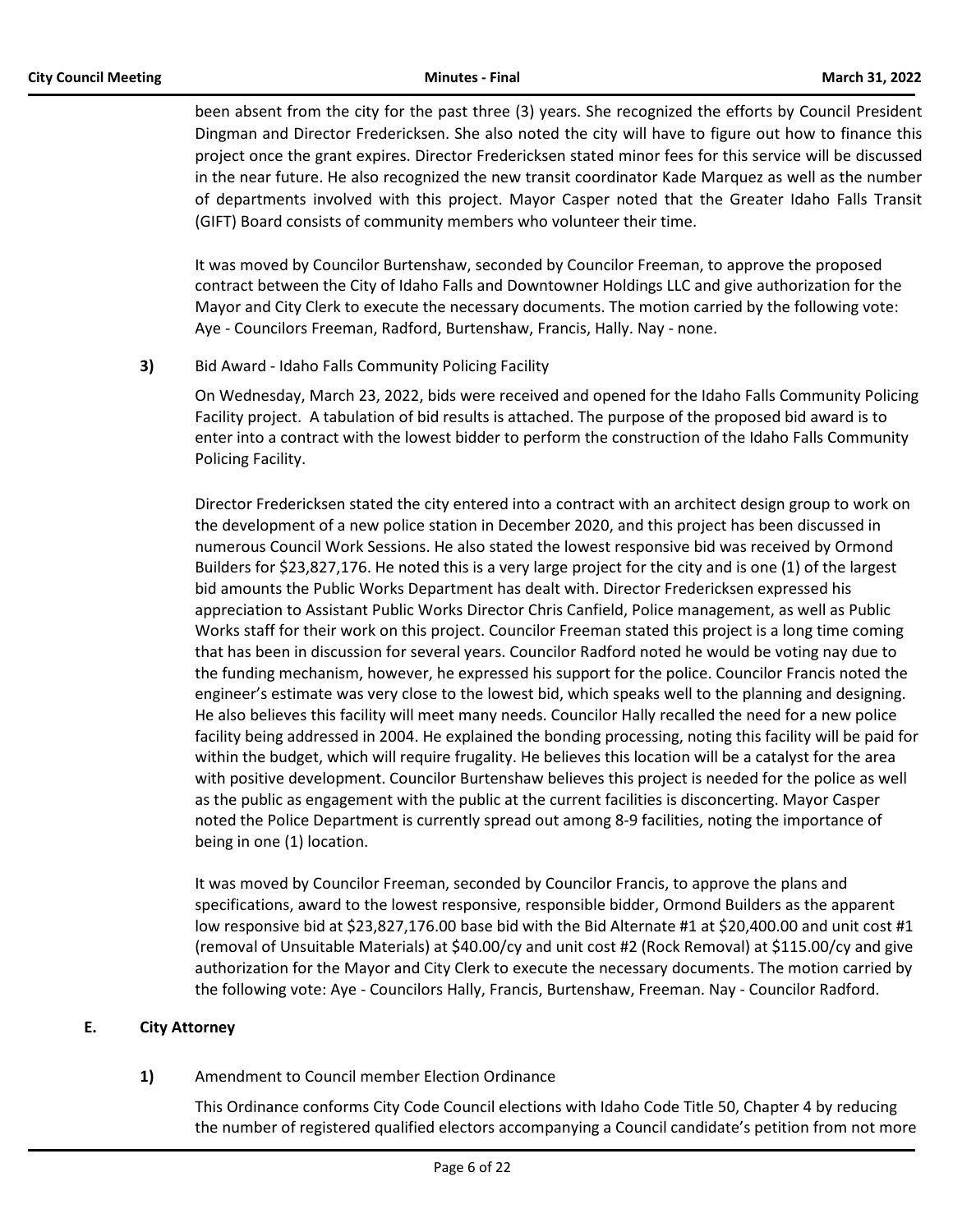been absent from the city for the past three (3) years. She recognized the efforts by Council President Dingman and Director Fredericksen. She also noted the city will have to figure out how to finance this project once the grant expires. Director Fredericksen stated minor fees for this service will be discussed in the near future. He also recognized the new transit coordinator Kade Marquez as well as the number of departments involved with this project. Mayor Casper noted that the Greater Idaho Falls Transit (GIFT) Board consists of community members who volunteer their time.

It was moved by Councilor Burtenshaw, seconded by Councilor Freeman, to approve the proposed contract between the City of Idaho Falls and Downtowner Holdings LLC and give authorization for the Mayor and City Clerk to execute the necessary documents. The motion carried by the following vote: Aye - Councilors Freeman, Radford, Burtenshaw, Francis, Hally. Nay - none.

**3)** Bid Award - Idaho Falls Community Policing Facility

On Wednesday, March 23, 2022, bids were received and opened for the Idaho Falls Community Policing Facility project. A tabulation of bid results is attached. The purpose of the proposed bid award is to enter into a contract with the lowest bidder to perform the construction of the Idaho Falls Community Policing Facility.

Director Fredericksen stated the city entered into a contract with an architect design group to work on the development of a new police station in December 2020, and this project has been discussed in numerous Council Work Sessions. He also stated the lowest responsive bid was received by Ormond Builders for \$23,827,176. He noted this is a very large project for the city and is one (1) of the largest bid amounts the Public Works Department has dealt with. Director Fredericksen expressed his appreciation to Assistant Public Works Director Chris Canfield, Police management, as well as Public Works staff for their work on this project. Councilor Freeman stated this project is a long time coming that has been in discussion for several years. Councilor Radford noted he would be voting nay due to the funding mechanism, however, he expressed his support for the police. Councilor Francis noted the engineer's estimate was very close to the lowest bid, which speaks well to the planning and designing. He also believes this facility will meet many needs. Councilor Hally recalled the need for a new police facility being addressed in 2004. He explained the bonding processing, noting this facility will be paid for within the budget, which will require frugality. He believes this location will be a catalyst for the area with positive development. Councilor Burtenshaw believes this project is needed for the police as well as the public as engagement with the public at the current facilities is disconcerting. Mayor Casper noted the Police Department is currently spread out among 8-9 facilities, noting the importance of being in one (1) location.

It was moved by Councilor Freeman, seconded by Councilor Francis, to approve the plans and specifications, award to the lowest responsive, responsible bidder, Ormond Builders as the apparent low responsive bid at \$23,827,176.00 base bid with the Bid Alternate #1 at \$20,400.00 and unit cost #1 (removal of Unsuitable Materials) at \$40.00/cy and unit cost #2 (Rock Removal) at \$115.00/cy and give authorization for the Mayor and City Clerk to execute the necessary documents. The motion carried by the following vote: Aye - Councilors Hally, Francis, Burtenshaw, Freeman. Nay - Councilor Radford.

# **E. City Attorney**

**1)** Amendment to Council member Election Ordinance

This Ordinance conforms City Code Council elections with Idaho Code Title 50, Chapter 4 by reducing the number of registered qualified electors accompanying a Council candidate's petition from not more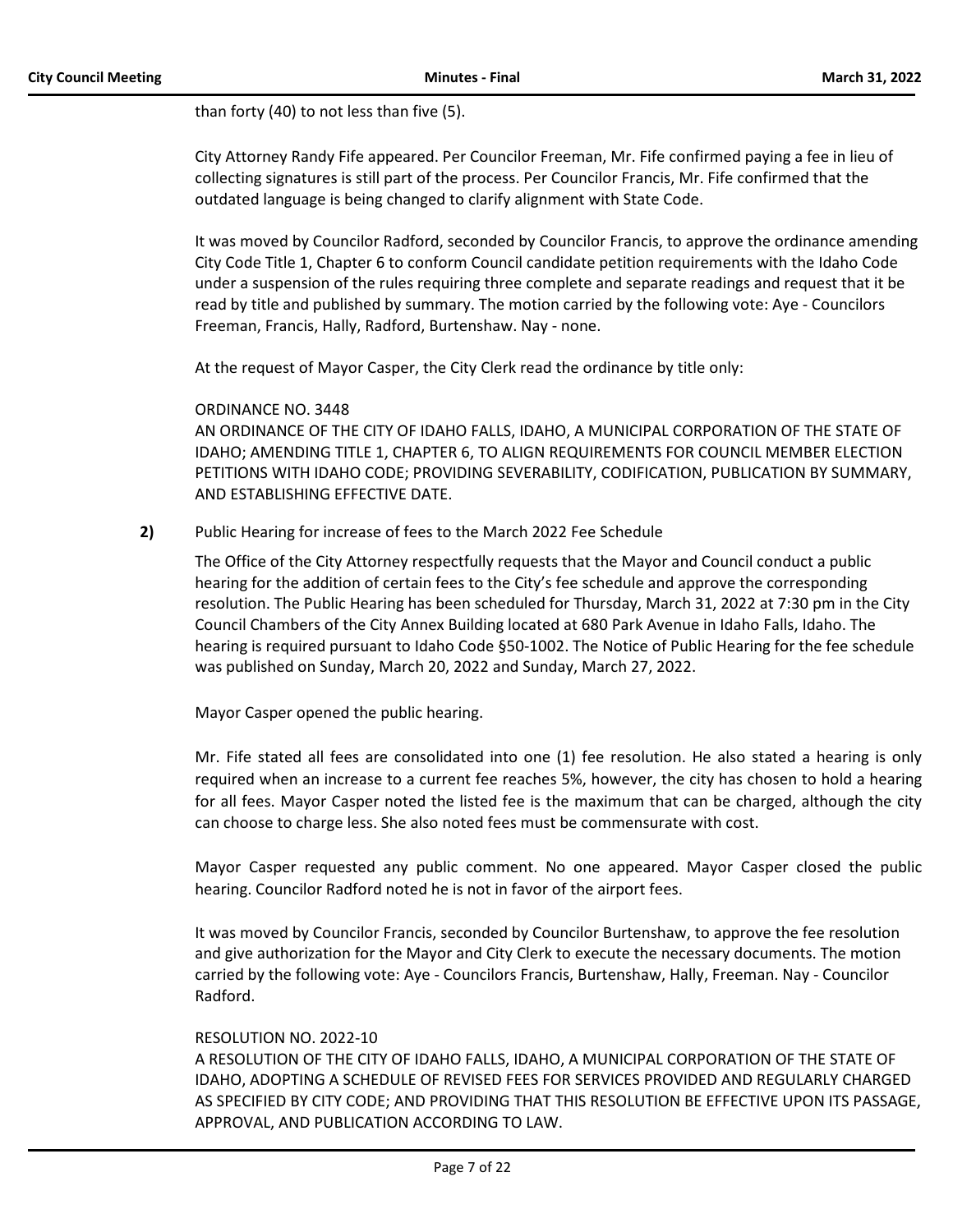than forty (40) to not less than five (5).

City Attorney Randy Fife appeared. Per Councilor Freeman, Mr. Fife confirmed paying a fee in lieu of collecting signatures is still part of the process. Per Councilor Francis, Mr. Fife confirmed that the outdated language is being changed to clarify alignment with State Code.

It was moved by Councilor Radford, seconded by Councilor Francis, to approve the ordinance amending City Code Title 1, Chapter 6 to conform Council candidate petition requirements with the Idaho Code under a suspension of the rules requiring three complete and separate readings and request that it be read by title and published by summary. The motion carried by the following vote: Aye - Councilors Freeman, Francis, Hally, Radford, Burtenshaw. Nay - none.

At the request of Mayor Casper, the City Clerk read the ordinance by title only:

## ORDINANCE NO. 3448

AN ORDINANCE OF THE CITY OF IDAHO FALLS, IDAHO, A MUNICIPAL CORPORATION OF THE STATE OF IDAHO; AMENDING TITLE 1, CHAPTER 6, TO ALIGN REQUIREMENTS FOR COUNCIL MEMBER ELECTION PETITIONS WITH IDAHO CODE; PROVIDING SEVERABILITY, CODIFICATION, PUBLICATION BY SUMMARY, AND ESTABLISHING EFFECTIVE DATE.

**2)** Public Hearing for increase of fees to the March 2022 Fee Schedule

The Office of the City Attorney respectfully requests that the Mayor and Council conduct a public hearing for the addition of certain fees to the City's fee schedule and approve the corresponding resolution. The Public Hearing has been scheduled for Thursday, March 31, 2022 at 7:30 pm in the City Council Chambers of the City Annex Building located at 680 Park Avenue in Idaho Falls, Idaho. The hearing is required pursuant to Idaho Code §50-1002. The Notice of Public Hearing for the fee schedule was published on Sunday, March 20, 2022 and Sunday, March 27, 2022.

Mayor Casper opened the public hearing.

Mr. Fife stated all fees are consolidated into one (1) fee resolution. He also stated a hearing is only required when an increase to a current fee reaches 5%, however, the city has chosen to hold a hearing for all fees. Mayor Casper noted the listed fee is the maximum that can be charged, although the city can choose to charge less. She also noted fees must be commensurate with cost.

Mayor Casper requested any public comment. No one appeared. Mayor Casper closed the public hearing. Councilor Radford noted he is not in favor of the airport fees.

It was moved by Councilor Francis, seconded by Councilor Burtenshaw, to approve the fee resolution and give authorization for the Mayor and City Clerk to execute the necessary documents. The motion carried by the following vote: Aye - Councilors Francis, Burtenshaw, Hally, Freeman. Nay - Councilor Radford.

#### RESOLUTION NO. 2022-10

A RESOLUTION OF THE CITY OF IDAHO FALLS, IDAHO, A MUNICIPAL CORPORATION OF THE STATE OF IDAHO, ADOPTING A SCHEDULE OF REVISED FEES FOR SERVICES PROVIDED AND REGULARLY CHARGED AS SPECIFIED BY CITY CODE; AND PROVIDING THAT THIS RESOLUTION BE EFFECTIVE UPON ITS PASSAGE, APPROVAL, AND PUBLICATION ACCORDING TO LAW.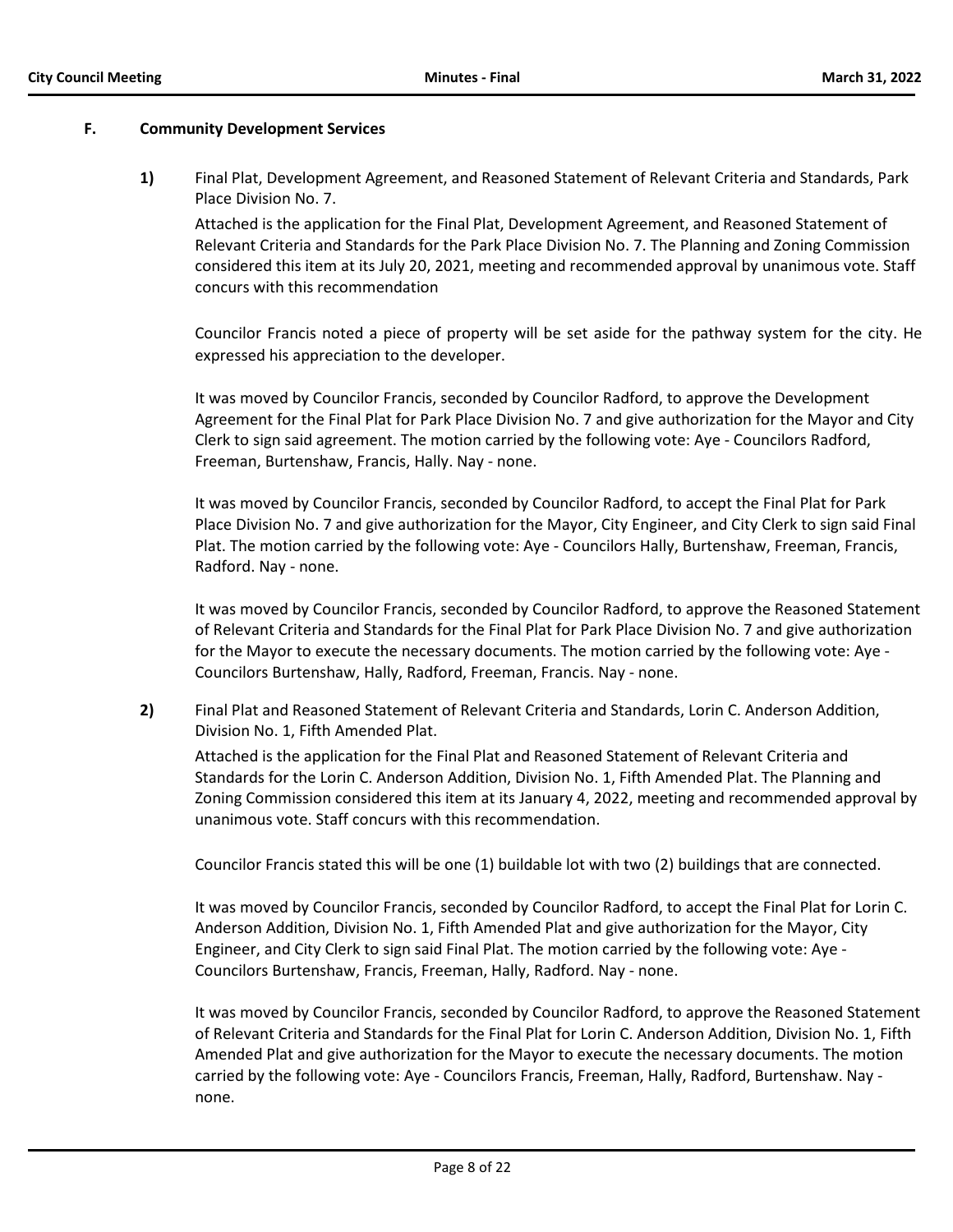## **F. Community Development Services**

**1)** Final Plat, Development Agreement, and Reasoned Statement of Relevant Criteria and Standards, Park Place Division No. 7.

Attached is the application for the Final Plat, Development Agreement, and Reasoned Statement of Relevant Criteria and Standards for the Park Place Division No. 7. The Planning and Zoning Commission considered this item at its July 20, 2021, meeting and recommended approval by unanimous vote. Staff concurs with this recommendation

Councilor Francis noted a piece of property will be set aside for the pathway system for the city. He expressed his appreciation to the developer.

It was moved by Councilor Francis, seconded by Councilor Radford, to approve the Development Agreement for the Final Plat for Park Place Division No. 7 and give authorization for the Mayor and City Clerk to sign said agreement. The motion carried by the following vote: Aye - Councilors Radford, Freeman, Burtenshaw, Francis, Hally. Nay - none.

It was moved by Councilor Francis, seconded by Councilor Radford, to accept the Final Plat for Park Place Division No. 7 and give authorization for the Mayor, City Engineer, and City Clerk to sign said Final Plat. The motion carried by the following vote: Aye - Councilors Hally, Burtenshaw, Freeman, Francis, Radford. Nay - none.

It was moved by Councilor Francis, seconded by Councilor Radford, to approve the Reasoned Statement of Relevant Criteria and Standards for the Final Plat for Park Place Division No. 7 and give authorization for the Mayor to execute the necessary documents. The motion carried by the following vote: Aye - Councilors Burtenshaw, Hally, Radford, Freeman, Francis. Nay - none.

**2)** Final Plat and Reasoned Statement of Relevant Criteria and Standards, Lorin C. Anderson Addition, Division No. 1, Fifth Amended Plat.

Attached is the application for the Final Plat and Reasoned Statement of Relevant Criteria and Standards for the Lorin C. Anderson Addition, Division No. 1, Fifth Amended Plat. The Planning and Zoning Commission considered this item at its January 4, 2022, meeting and recommended approval by unanimous vote. Staff concurs with this recommendation.

Councilor Francis stated this will be one (1) buildable lot with two (2) buildings that are connected.

It was moved by Councilor Francis, seconded by Councilor Radford, to accept the Final Plat for Lorin C. Anderson Addition, Division No. 1, Fifth Amended Plat and give authorization for the Mayor, City Engineer, and City Clerk to sign said Final Plat. The motion carried by the following vote: Aye - Councilors Burtenshaw, Francis, Freeman, Hally, Radford. Nay - none.

It was moved by Councilor Francis, seconded by Councilor Radford, to approve the Reasoned Statement of Relevant Criteria and Standards for the Final Plat for Lorin C. Anderson Addition, Division No. 1, Fifth Amended Plat and give authorization for the Mayor to execute the necessary documents. The motion carried by the following vote: Aye - Councilors Francis, Freeman, Hally, Radford, Burtenshaw. Nay none.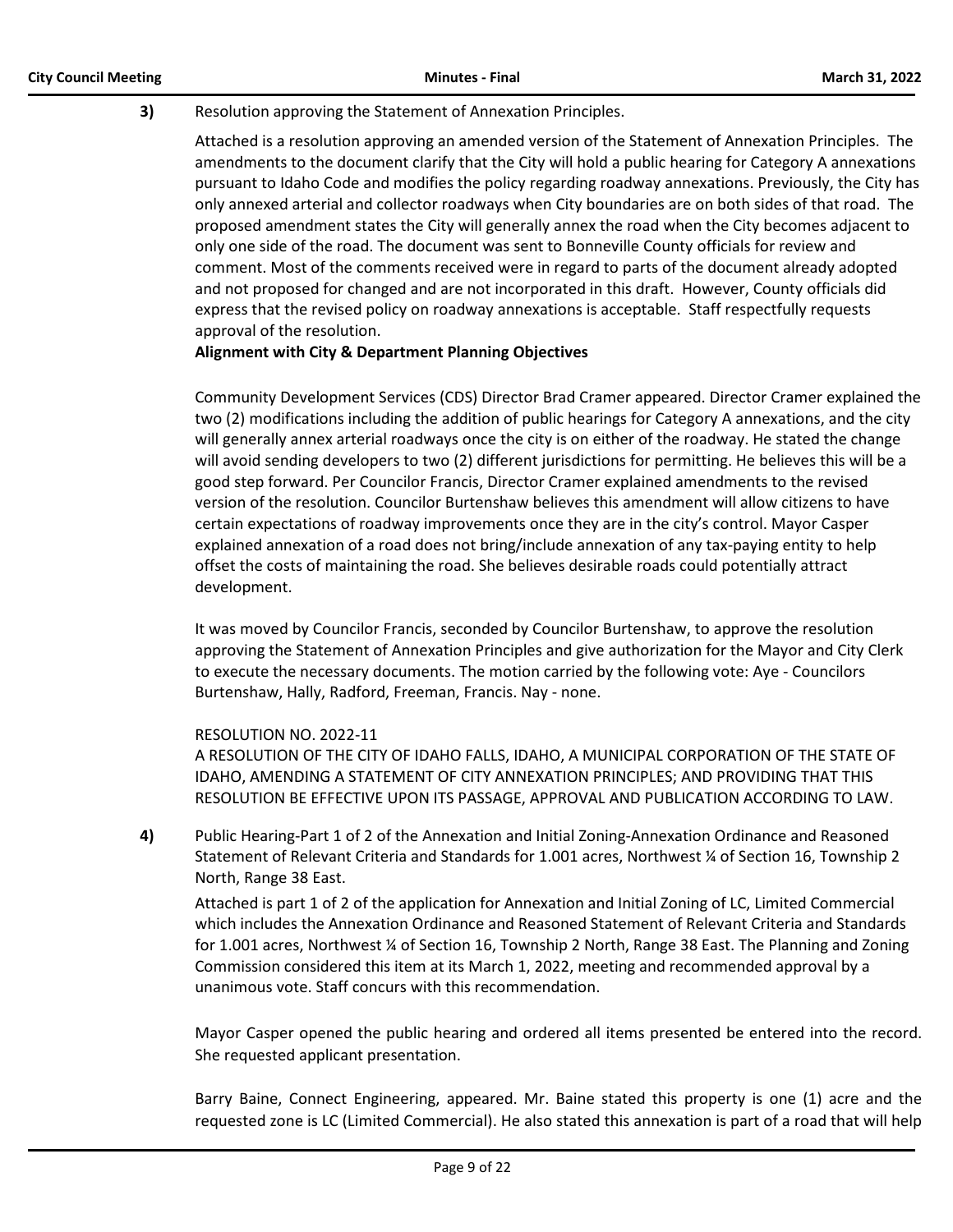# **3)** Resolution approving the Statement of Annexation Principles.

Attached is a resolution approving an amended version of the Statement of Annexation Principles. The amendments to the document clarify that the City will hold a public hearing for Category A annexations pursuant to Idaho Code and modifies the policy regarding roadway annexations. Previously, the City has only annexed arterial and collector roadways when City boundaries are on both sides of that road. The proposed amendment states the City will generally annex the road when the City becomes adjacent to only one side of the road. The document was sent to Bonneville County officials for review and comment. Most of the comments received were in regard to parts of the document already adopted and not proposed for changed and are not incorporated in this draft. However, County officials did express that the revised policy on roadway annexations is acceptable. Staff respectfully requests approval of the resolution.

# **Alignment with City & Department Planning Objectives**

Community Development Services (CDS) Director Brad Cramer appeared. Director Cramer explained the two (2) modifications including the addition of public hearings for Category A annexations, and the city will generally annex arterial roadways once the city is on either of the roadway. He stated the change will avoid sending developers to two (2) different jurisdictions for permitting. He believes this will be a good step forward. Per Councilor Francis, Director Cramer explained amendments to the revised version of the resolution. Councilor Burtenshaw believes this amendment will allow citizens to have certain expectations of roadway improvements once they are in the city's control. Mayor Casper explained annexation of a road does not bring/include annexation of any tax-paying entity to help offset the costs of maintaining the road. She believes desirable roads could potentially attract development.

It was moved by Councilor Francis, seconded by Councilor Burtenshaw, to approve the resolution approving the Statement of Annexation Principles and give authorization for the Mayor and City Clerk to execute the necessary documents. The motion carried by the following vote: Aye - Councilors Burtenshaw, Hally, Radford, Freeman, Francis. Nay - none.

# RESOLUTION NO. 2022-11

A RESOLUTION OF THE CITY OF IDAHO FALLS, IDAHO, A MUNICIPAL CORPORATION OF THE STATE OF IDAHO, AMENDING A STATEMENT OF CITY ANNEXATION PRINCIPLES; AND PROVIDING THAT THIS RESOLUTION BE EFFECTIVE UPON ITS PASSAGE, APPROVAL AND PUBLICATION ACCORDING TO LAW.

**4)** Public Hearing-Part 1 of 2 of the Annexation and Initial Zoning-Annexation Ordinance and Reasoned Statement of Relevant Criteria and Standards for 1.001 acres, Northwest ¼ of Section 16, Township 2 North, Range 38 East.

Attached is part 1 of 2 of the application for Annexation and Initial Zoning of LC, Limited Commercial which includes the Annexation Ordinance and Reasoned Statement of Relevant Criteria and Standards for 1.001 acres, Northwest ¼ of Section 16, Township 2 North, Range 38 East. The Planning and Zoning Commission considered this item at its March 1, 2022, meeting and recommended approval by a unanimous vote. Staff concurs with this recommendation.

Mayor Casper opened the public hearing and ordered all items presented be entered into the record. She requested applicant presentation.

Barry Baine, Connect Engineering, appeared. Mr. Baine stated this property is one (1) acre and the requested zone is LC (Limited Commercial). He also stated this annexation is part of a road that will help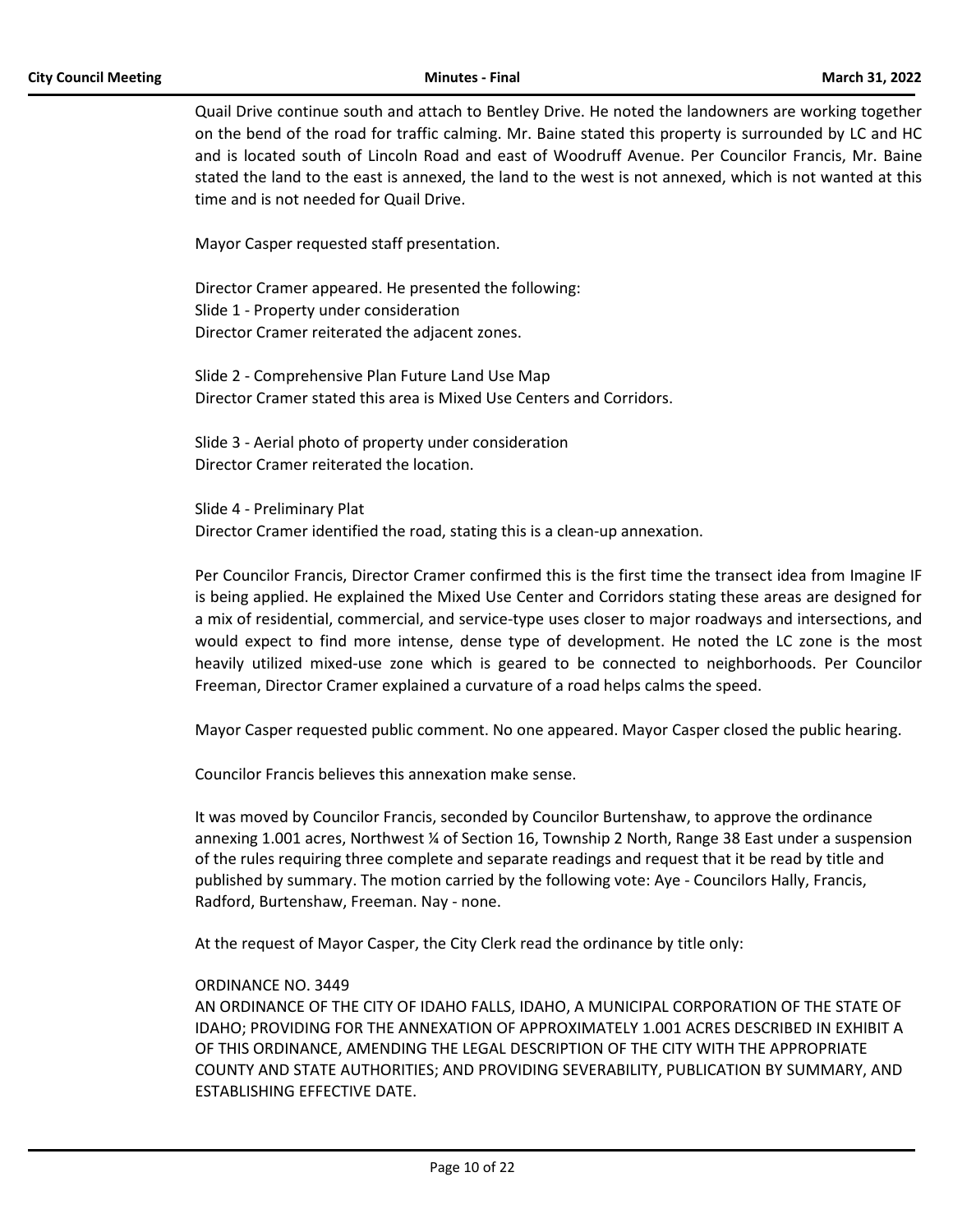Quail Drive continue south and attach to Bentley Drive. He noted the landowners are working together on the bend of the road for traffic calming. Mr. Baine stated this property is surrounded by LC and HC and is located south of Lincoln Road and east of Woodruff Avenue. Per Councilor Francis, Mr. Baine stated the land to the east is annexed, the land to the west is not annexed, which is not wanted at this time and is not needed for Quail Drive.

Mayor Casper requested staff presentation.

Director Cramer appeared. He presented the following: Slide 1 - Property under consideration Director Cramer reiterated the adjacent zones.

Slide 2 - Comprehensive Plan Future Land Use Map Director Cramer stated this area is Mixed Use Centers and Corridors.

Slide 3 - Aerial photo of property under consideration Director Cramer reiterated the location.

Slide 4 - Preliminary Plat Director Cramer identified the road, stating this is a clean-up annexation.

Per Councilor Francis, Director Cramer confirmed this is the first time the transect idea from Imagine IF is being applied. He explained the Mixed Use Center and Corridors stating these areas are designed for a mix of residential, commercial, and service-type uses closer to major roadways and intersections, and would expect to find more intense, dense type of development. He noted the LC zone is the most heavily utilized mixed-use zone which is geared to be connected to neighborhoods. Per Councilor Freeman, Director Cramer explained a curvature of a road helps calms the speed.

Mayor Casper requested public comment. No one appeared. Mayor Casper closed the public hearing.

Councilor Francis believes this annexation make sense.

It was moved by Councilor Francis, seconded by Councilor Burtenshaw, to approve the ordinance annexing 1.001 acres, Northwest ¼ of Section 16, Township 2 North, Range 38 East under a suspension of the rules requiring three complete and separate readings and request that it be read by title and published by summary. The motion carried by the following vote: Aye - Councilors Hally, Francis, Radford, Burtenshaw, Freeman. Nay - none.

At the request of Mayor Casper, the City Clerk read the ordinance by title only:

## ORDINANCE NO. 3449

AN ORDINANCE OF THE CITY OF IDAHO FALLS, IDAHO, A MUNICIPAL CORPORATION OF THE STATE OF IDAHO; PROVIDING FOR THE ANNEXATION OF APPROXIMATELY 1.001 ACRES DESCRIBED IN EXHIBIT A OF THIS ORDINANCE, AMENDING THE LEGAL DESCRIPTION OF THE CITY WITH THE APPROPRIATE COUNTY AND STATE AUTHORITIES; AND PROVIDING SEVERABILITY, PUBLICATION BY SUMMARY, AND ESTABLISHING EFFECTIVE DATE.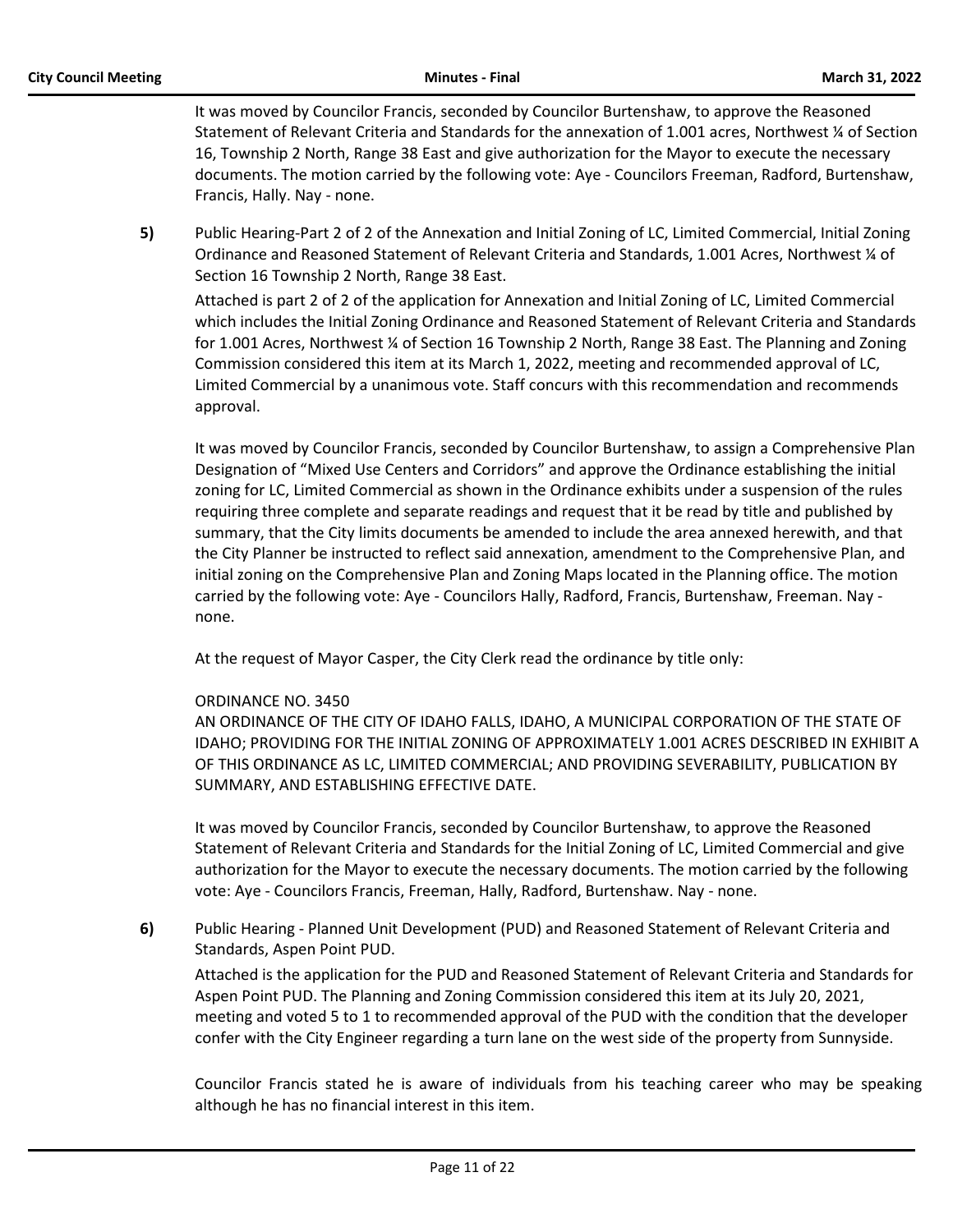It was moved by Councilor Francis, seconded by Councilor Burtenshaw, to approve the Reasoned Statement of Relevant Criteria and Standards for the annexation of 1.001 acres, Northwest ¼ of Section 16, Township 2 North, Range 38 East and give authorization for the Mayor to execute the necessary documents. The motion carried by the following vote: Aye - Councilors Freeman, Radford, Burtenshaw, Francis, Hally. Nay - none.

**5)** Public Hearing-Part 2 of 2 of the Annexation and Initial Zoning of LC, Limited Commercial, Initial Zoning Ordinance and Reasoned Statement of Relevant Criteria and Standards, 1.001 Acres, Northwest ¼ of Section 16 Township 2 North, Range 38 East.

Attached is part 2 of 2 of the application for Annexation and Initial Zoning of LC, Limited Commercial which includes the Initial Zoning Ordinance and Reasoned Statement of Relevant Criteria and Standards for 1.001 Acres, Northwest ¼ of Section 16 Township 2 North, Range 38 East. The Planning and Zoning Commission considered this item at its March 1, 2022, meeting and recommended approval of LC, Limited Commercial by a unanimous vote. Staff concurs with this recommendation and recommends approval.

It was moved by Councilor Francis, seconded by Councilor Burtenshaw, to assign a Comprehensive Plan Designation of "Mixed Use Centers and Corridors" and approve the Ordinance establishing the initial zoning for LC, Limited Commercial as shown in the Ordinance exhibits under a suspension of the rules requiring three complete and separate readings and request that it be read by title and published by summary, that the City limits documents be amended to include the area annexed herewith, and that the City Planner be instructed to reflect said annexation, amendment to the Comprehensive Plan, and initial zoning on the Comprehensive Plan and Zoning Maps located in the Planning office. The motion carried by the following vote: Aye - Councilors Hally, Radford, Francis, Burtenshaw, Freeman. Nay none.

At the request of Mayor Casper, the City Clerk read the ordinance by title only:

# ORDINANCE NO. 3450

AN ORDINANCE OF THE CITY OF IDAHO FALLS, IDAHO, A MUNICIPAL CORPORATION OF THE STATE OF IDAHO; PROVIDING FOR THE INITIAL ZONING OF APPROXIMATELY 1.001 ACRES DESCRIBED IN EXHIBIT A OF THIS ORDINANCE AS LC, LIMITED COMMERCIAL; AND PROVIDING SEVERABILITY, PUBLICATION BY SUMMARY, AND ESTABLISHING EFFECTIVE DATE.

It was moved by Councilor Francis, seconded by Councilor Burtenshaw, to approve the Reasoned Statement of Relevant Criteria and Standards for the Initial Zoning of LC, Limited Commercial and give authorization for the Mayor to execute the necessary documents. The motion carried by the following vote: Aye - Councilors Francis, Freeman, Hally, Radford, Burtenshaw. Nay - none.

**6)** Public Hearing - Planned Unit Development (PUD) and Reasoned Statement of Relevant Criteria and Standards, Aspen Point PUD.

Attached is the application for the PUD and Reasoned Statement of Relevant Criteria and Standards for Aspen Point PUD. The Planning and Zoning Commission considered this item at its July 20, 2021, meeting and voted 5 to 1 to recommended approval of the PUD with the condition that the developer confer with the City Engineer regarding a turn lane on the west side of the property from Sunnyside.

Councilor Francis stated he is aware of individuals from his teaching career who may be speaking although he has no financial interest in this item.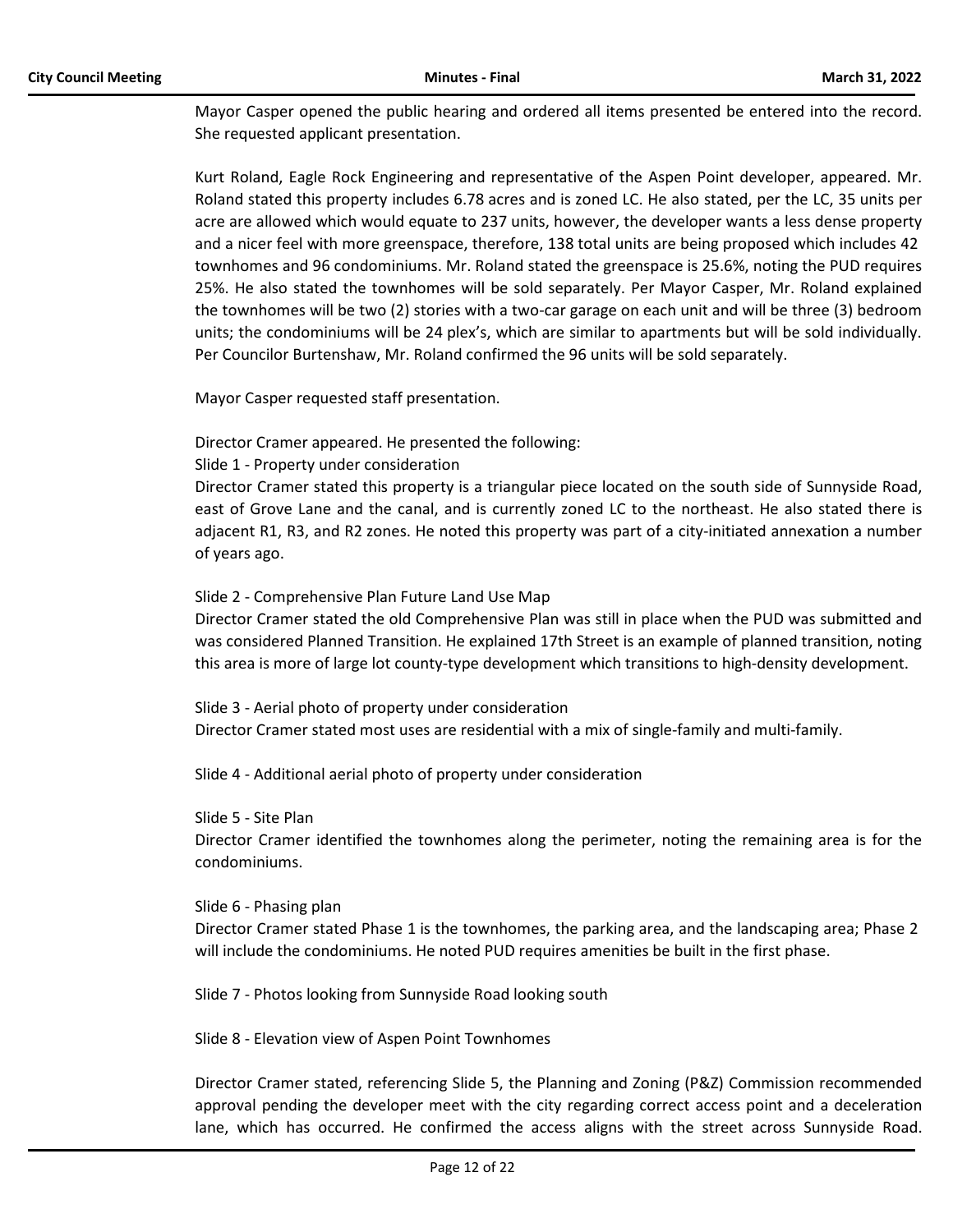Mayor Casper opened the public hearing and ordered all items presented be entered into the record. She requested applicant presentation.

Kurt Roland, Eagle Rock Engineering and representative of the Aspen Point developer, appeared. Mr. Roland stated this property includes 6.78 acres and is zoned LC. He also stated, per the LC, 35 units per acre are allowed which would equate to 237 units, however, the developer wants a less dense property and a nicer feel with more greenspace, therefore, 138 total units are being proposed which includes 42 townhomes and 96 condominiums. Mr. Roland stated the greenspace is 25.6%, noting the PUD requires 25%. He also stated the townhomes will be sold separately. Per Mayor Casper, Mr. Roland explained the townhomes will be two (2) stories with a two-car garage on each unit and will be three (3) bedroom units; the condominiums will be 24 plex's, which are similar to apartments but will be sold individually. Per Councilor Burtenshaw, Mr. Roland confirmed the 96 units will be sold separately.

Mayor Casper requested staff presentation.

Director Cramer appeared. He presented the following:

## Slide 1 - Property under consideration

Director Cramer stated this property is a triangular piece located on the south side of Sunnyside Road, east of Grove Lane and the canal, and is currently zoned LC to the northeast. He also stated there is adjacent R1, R3, and R2 zones. He noted this property was part of a city-initiated annexation a number of years ago.

## Slide 2 - Comprehensive Plan Future Land Use Map

Director Cramer stated the old Comprehensive Plan was still in place when the PUD was submitted and was considered Planned Transition. He explained 17th Street is an example of planned transition, noting this area is more of large lot county-type development which transitions to high-density development.

Slide 3 - Aerial photo of property under consideration Director Cramer stated most uses are residential with a mix of single-family and multi-family.

Slide 4 - Additional aerial photo of property under consideration

#### Slide 5 - Site Plan

Director Cramer identified the townhomes along the perimeter, noting the remaining area is for the condominiums.

#### Slide 6 - Phasing plan

Director Cramer stated Phase 1 is the townhomes, the parking area, and the landscaping area; Phase 2 will include the condominiums. He noted PUD requires amenities be built in the first phase.

Slide 7 - Photos looking from Sunnyside Road looking south

Slide 8 - Elevation view of Aspen Point Townhomes

Director Cramer stated, referencing Slide 5, the Planning and Zoning (P&Z) Commission recommended approval pending the developer meet with the city regarding correct access point and a deceleration lane, which has occurred. He confirmed the access aligns with the street across Sunnyside Road.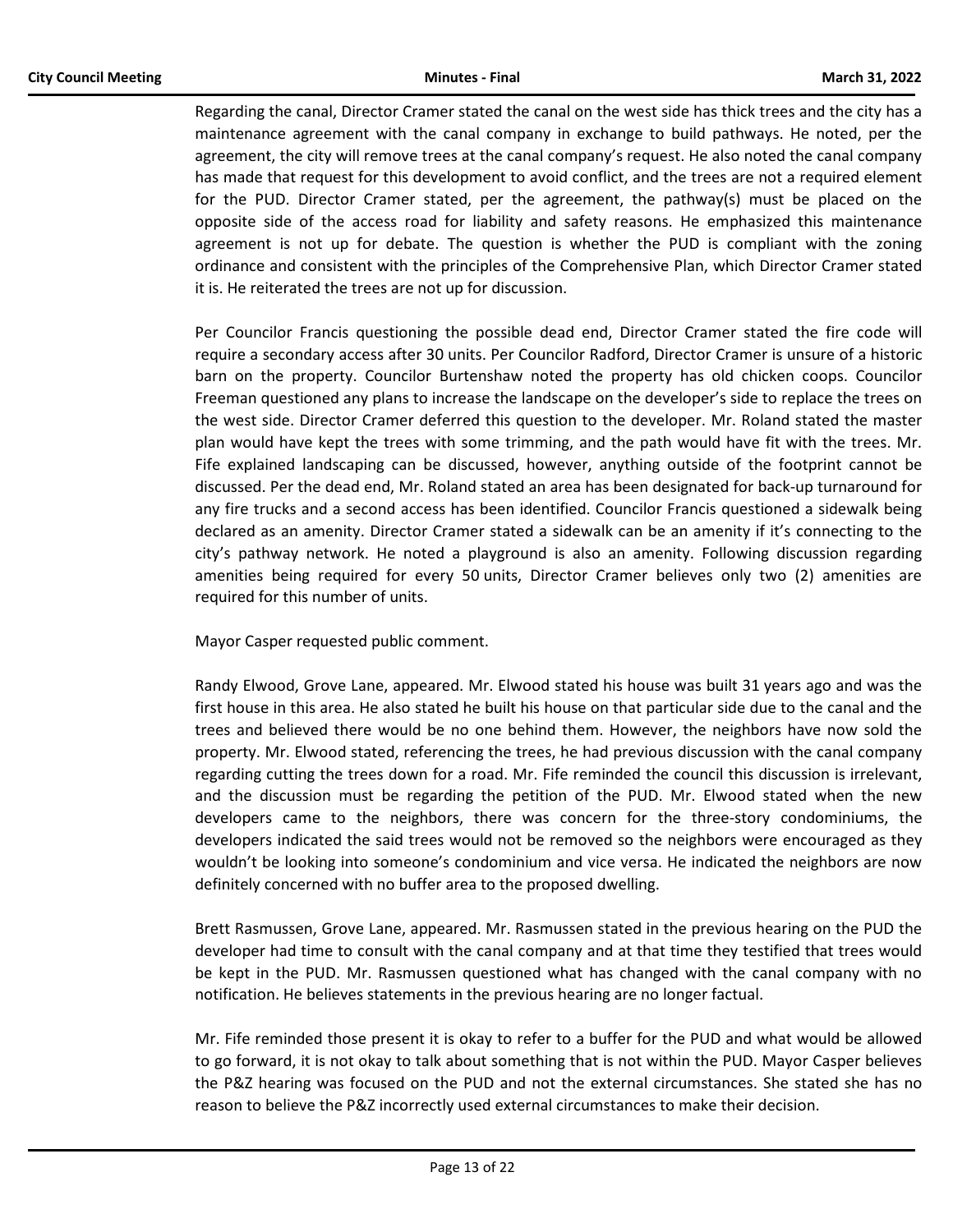Regarding the canal, Director Cramer stated the canal on the west side has thick trees and the city has a maintenance agreement with the canal company in exchange to build pathways. He noted, per the agreement, the city will remove trees at the canal company's request. He also noted the canal company has made that request for this development to avoid conflict, and the trees are not a required element for the PUD. Director Cramer stated, per the agreement, the pathway(s) must be placed on the opposite side of the access road for liability and safety reasons. He emphasized this maintenance agreement is not up for debate. The question is whether the PUD is compliant with the zoning ordinance and consistent with the principles of the Comprehensive Plan, which Director Cramer stated it is. He reiterated the trees are not up for discussion.

Per Councilor Francis questioning the possible dead end, Director Cramer stated the fire code will require a secondary access after 30 units. Per Councilor Radford, Director Cramer is unsure of a historic barn on the property. Councilor Burtenshaw noted the property has old chicken coops. Councilor Freeman questioned any plans to increase the landscape on the developer's side to replace the trees on the west side. Director Cramer deferred this question to the developer. Mr. Roland stated the master plan would have kept the trees with some trimming, and the path would have fit with the trees. Mr. Fife explained landscaping can be discussed, however, anything outside of the footprint cannot be discussed. Per the dead end, Mr. Roland stated an area has been designated for back-up turnaround for any fire trucks and a second access has been identified. Councilor Francis questioned a sidewalk being declared as an amenity. Director Cramer stated a sidewalk can be an amenity if it's connecting to the city's pathway network. He noted a playground is also an amenity. Following discussion regarding amenities being required for every 50 units, Director Cramer believes only two (2) amenities are required for this number of units.

Mayor Casper requested public comment.

Randy Elwood, Grove Lane, appeared. Mr. Elwood stated his house was built 31 years ago and was the first house in this area. He also stated he built his house on that particular side due to the canal and the trees and believed there would be no one behind them. However, the neighbors have now sold the property. Mr. Elwood stated, referencing the trees, he had previous discussion with the canal company regarding cutting the trees down for a road. Mr. Fife reminded the council this discussion is irrelevant, and the discussion must be regarding the petition of the PUD. Mr. Elwood stated when the new developers came to the neighbors, there was concern for the three-story condominiums, the developers indicated the said trees would not be removed so the neighbors were encouraged as they wouldn't be looking into someone's condominium and vice versa. He indicated the neighbors are now definitely concerned with no buffer area to the proposed dwelling.

Brett Rasmussen, Grove Lane, appeared. Mr. Rasmussen stated in the previous hearing on the PUD the developer had time to consult with the canal company and at that time they testified that trees would be kept in the PUD. Mr. Rasmussen questioned what has changed with the canal company with no notification. He believes statements in the previous hearing are no longer factual.

Mr. Fife reminded those present it is okay to refer to a buffer for the PUD and what would be allowed to go forward, it is not okay to talk about something that is not within the PUD. Mayor Casper believes the P&Z hearing was focused on the PUD and not the external circumstances. She stated she has no reason to believe the P&Z incorrectly used external circumstances to make their decision.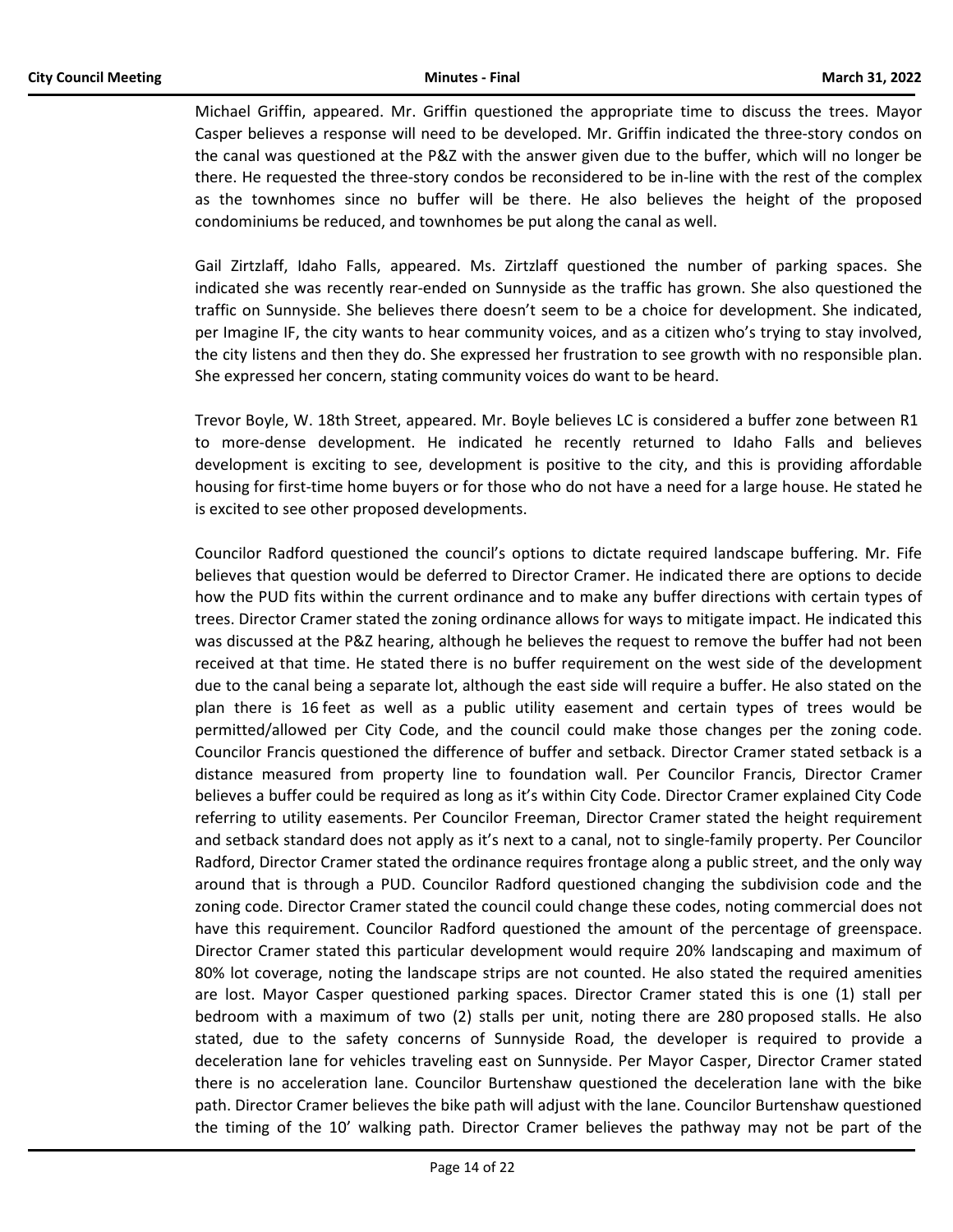Michael Griffin, appeared. Mr. Griffin questioned the appropriate time to discuss the trees. Mayor Casper believes a response will need to be developed. Mr. Griffin indicated the three-story condos on the canal was questioned at the P&Z with the answer given due to the buffer, which will no longer be there. He requested the three-story condos be reconsidered to be in-line with the rest of the complex as the townhomes since no buffer will be there. He also believes the height of the proposed condominiums be reduced, and townhomes be put along the canal as well.

Gail Zirtzlaff, Idaho Falls, appeared. Ms. Zirtzlaff questioned the number of parking spaces. She indicated she was recently rear-ended on Sunnyside as the traffic has grown. She also questioned the traffic on Sunnyside. She believes there doesn't seem to be a choice for development. She indicated, per Imagine IF, the city wants to hear community voices, and as a citizen who's trying to stay involved, the city listens and then they do. She expressed her frustration to see growth with no responsible plan. She expressed her concern, stating community voices do want to be heard.

Trevor Boyle, W. 18th Street, appeared. Mr. Boyle believes LC is considered a buffer zone between R1 to more-dense development. He indicated he recently returned to Idaho Falls and believes development is exciting to see, development is positive to the city, and this is providing affordable housing for first-time home buyers or for those who do not have a need for a large house. He stated he is excited to see other proposed developments.

Councilor Radford questioned the council's options to dictate required landscape buffering. Mr. Fife believes that question would be deferred to Director Cramer. He indicated there are options to decide how the PUD fits within the current ordinance and to make any buffer directions with certain types of trees. Director Cramer stated the zoning ordinance allows for ways to mitigate impact. He indicated this was discussed at the P&Z hearing, although he believes the request to remove the buffer had not been received at that time. He stated there is no buffer requirement on the west side of the development due to the canal being a separate lot, although the east side will require a buffer. He also stated on the plan there is 16 feet as well as a public utility easement and certain types of trees would be permitted/allowed per City Code, and the council could make those changes per the zoning code. Councilor Francis questioned the difference of buffer and setback. Director Cramer stated setback is a distance measured from property line to foundation wall. Per Councilor Francis, Director Cramer believes a buffer could be required as long as it's within City Code. Director Cramer explained City Code referring to utility easements. Per Councilor Freeman, Director Cramer stated the height requirement and setback standard does not apply as it's next to a canal, not to single-family property. Per Councilor Radford, Director Cramer stated the ordinance requires frontage along a public street, and the only way around that is through a PUD. Councilor Radford questioned changing the subdivision code and the zoning code. Director Cramer stated the council could change these codes, noting commercial does not have this requirement. Councilor Radford questioned the amount of the percentage of greenspace. Director Cramer stated this particular development would require 20% landscaping and maximum of 80% lot coverage, noting the landscape strips are not counted. He also stated the required amenities are lost. Mayor Casper questioned parking spaces. Director Cramer stated this is one (1) stall per bedroom with a maximum of two (2) stalls per unit, noting there are 280 proposed stalls. He also stated, due to the safety concerns of Sunnyside Road, the developer is required to provide a deceleration lane for vehicles traveling east on Sunnyside. Per Mayor Casper, Director Cramer stated there is no acceleration lane. Councilor Burtenshaw questioned the deceleration lane with the bike path. Director Cramer believes the bike path will adjust with the lane. Councilor Burtenshaw questioned the timing of the 10' walking path. Director Cramer believes the pathway may not be part of the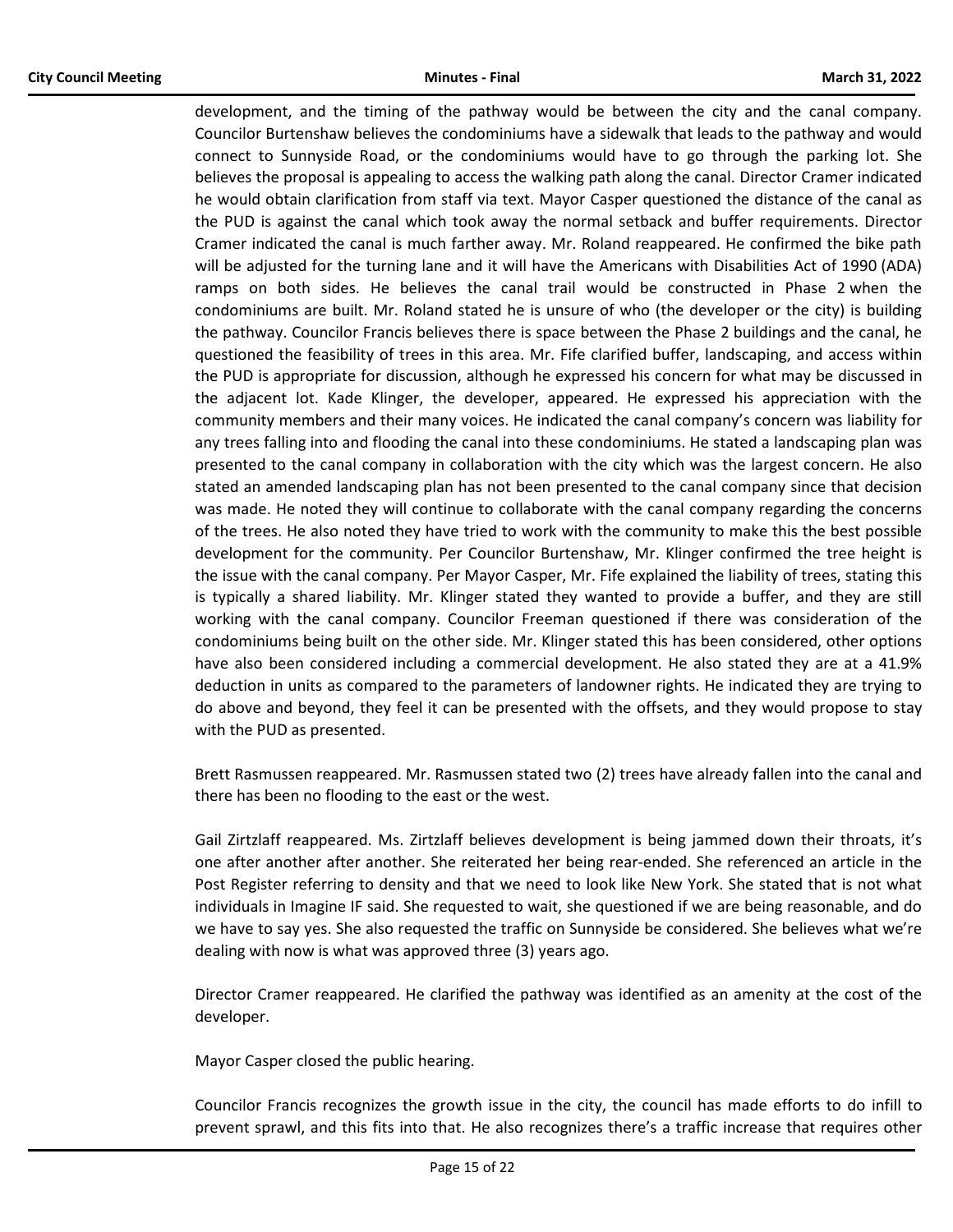development, and the timing of the pathway would be between the city and the canal company. Councilor Burtenshaw believes the condominiums have a sidewalk that leads to the pathway and would connect to Sunnyside Road, or the condominiums would have to go through the parking lot. She believes the proposal is appealing to access the walking path along the canal. Director Cramer indicated he would obtain clarification from staff via text. Mayor Casper questioned the distance of the canal as the PUD is against the canal which took away the normal setback and buffer requirements. Director Cramer indicated the canal is much farther away. Mr. Roland reappeared. He confirmed the bike path will be adjusted for the turning lane and it will have the Americans with Disabilities Act of 1990 (ADA) ramps on both sides. He believes the canal trail would be constructed in Phase 2 when the condominiums are built. Mr. Roland stated he is unsure of who (the developer or the city) is building the pathway. Councilor Francis believes there is space between the Phase 2 buildings and the canal, he questioned the feasibility of trees in this area. Mr. Fife clarified buffer, landscaping, and access within the PUD is appropriate for discussion, although he expressed his concern for what may be discussed in the adjacent lot. Kade Klinger, the developer, appeared. He expressed his appreciation with the community members and their many voices. He indicated the canal company's concern was liability for any trees falling into and flooding the canal into these condominiums. He stated a landscaping plan was presented to the canal company in collaboration with the city which was the largest concern. He also stated an amended landscaping plan has not been presented to the canal company since that decision was made. He noted they will continue to collaborate with the canal company regarding the concerns of the trees. He also noted they have tried to work with the community to make this the best possible development for the community. Per Councilor Burtenshaw, Mr. Klinger confirmed the tree height is the issue with the canal company. Per Mayor Casper, Mr. Fife explained the liability of trees, stating this is typically a shared liability. Mr. Klinger stated they wanted to provide a buffer, and they are still working with the canal company. Councilor Freeman questioned if there was consideration of the condominiums being built on the other side. Mr. Klinger stated this has been considered, other options have also been considered including a commercial development. He also stated they are at a 41.9% deduction in units as compared to the parameters of landowner rights. He indicated they are trying to do above and beyond, they feel it can be presented with the offsets, and they would propose to stay with the PUD as presented.

Brett Rasmussen reappeared. Mr. Rasmussen stated two (2) trees have already fallen into the canal and there has been no flooding to the east or the west.

Gail Zirtzlaff reappeared. Ms. Zirtzlaff believes development is being jammed down their throats, it's one after another after another. She reiterated her being rear-ended. She referenced an article in the Post Register referring to density and that we need to look like New York. She stated that is not what individuals in Imagine IF said. She requested to wait, she questioned if we are being reasonable, and do we have to say yes. She also requested the traffic on Sunnyside be considered. She believes what we're dealing with now is what was approved three (3) years ago.

Director Cramer reappeared. He clarified the pathway was identified as an amenity at the cost of the developer.

Mayor Casper closed the public hearing.

Councilor Francis recognizes the growth issue in the city, the council has made efforts to do infill to prevent sprawl, and this fits into that. He also recognizes there's a traffic increase that requires other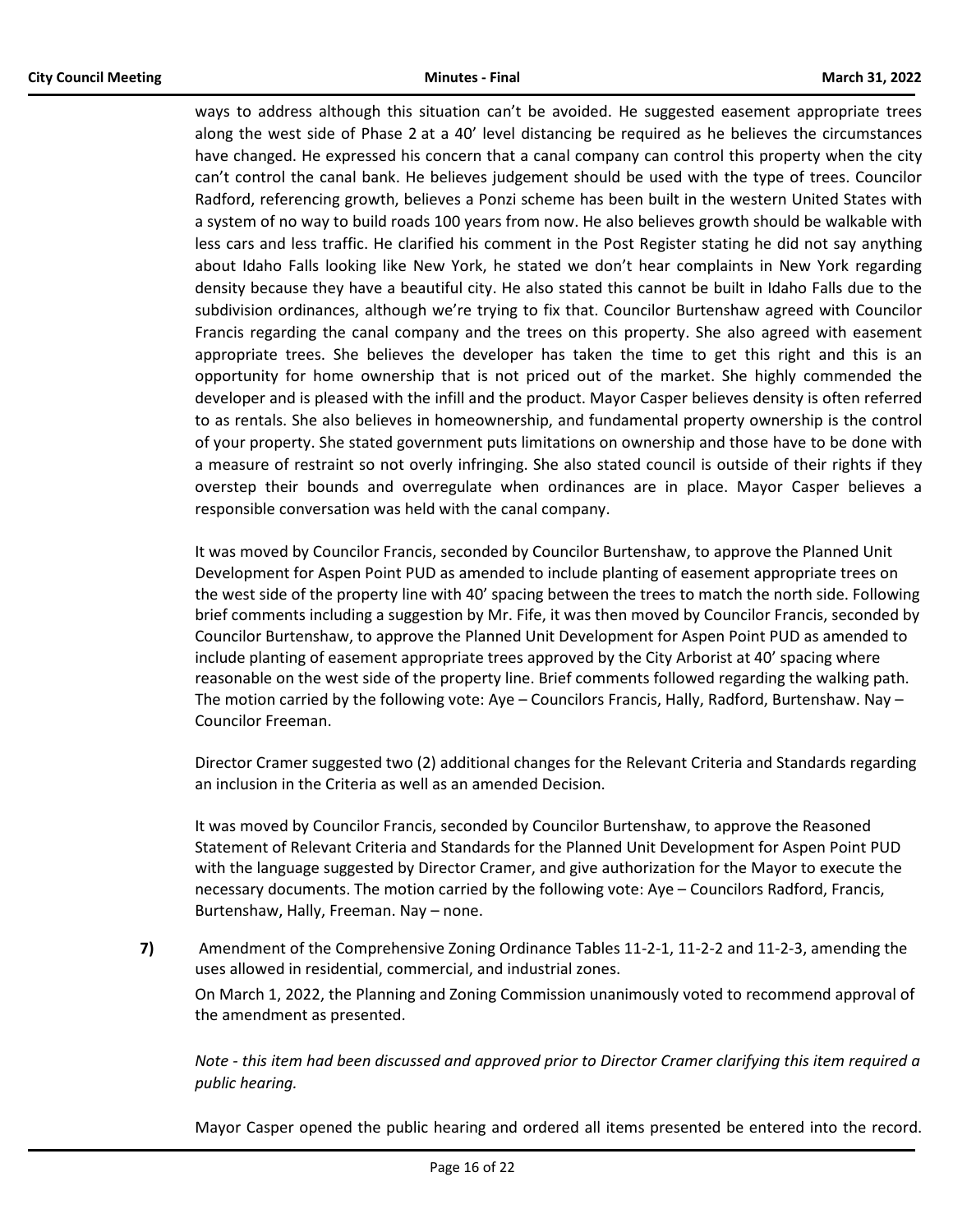ways to address although this situation can't be avoided. He suggested easement appropriate trees along the west side of Phase 2 at a 40' level distancing be required as he believes the circumstances have changed. He expressed his concern that a canal company can control this property when the city can't control the canal bank. He believes judgement should be used with the type of trees. Councilor Radford, referencing growth, believes a Ponzi scheme has been built in the western United States with a system of no way to build roads 100 years from now. He also believes growth should be walkable with less cars and less traffic. He clarified his comment in the Post Register stating he did not say anything about Idaho Falls looking like New York, he stated we don't hear complaints in New York regarding density because they have a beautiful city. He also stated this cannot be built in Idaho Falls due to the subdivision ordinances, although we're trying to fix that. Councilor Burtenshaw agreed with Councilor Francis regarding the canal company and the trees on this property. She also agreed with easement appropriate trees. She believes the developer has taken the time to get this right and this is an opportunity for home ownership that is not priced out of the market. She highly commended the developer and is pleased with the infill and the product. Mayor Casper believes density is often referred to as rentals. She also believes in homeownership, and fundamental property ownership is the control of your property. She stated government puts limitations on ownership and those have to be done with a measure of restraint so not overly infringing. She also stated council is outside of their rights if they overstep their bounds and overregulate when ordinances are in place. Mayor Casper believes a responsible conversation was held with the canal company.

It was moved by Councilor Francis, seconded by Councilor Burtenshaw, to approve the Planned Unit Development for Aspen Point PUD as amended to include planting of easement appropriate trees on the west side of the property line with 40' spacing between the trees to match the north side. Following brief comments including a suggestion by Mr. Fife, it was then moved by Councilor Francis, seconded by Councilor Burtenshaw, to approve the Planned Unit Development for Aspen Point PUD as amended to include planting of easement appropriate trees approved by the City Arborist at 40' spacing where reasonable on the west side of the property line. Brief comments followed regarding the walking path. The motion carried by the following vote: Aye – Councilors Francis, Hally, Radford, Burtenshaw. Nay – Councilor Freeman.

Director Cramer suggested two (2) additional changes for the Relevant Criteria and Standards regarding an inclusion in the Criteria as well as an amended Decision.

It was moved by Councilor Francis, seconded by Councilor Burtenshaw, to approve the Reasoned Statement of Relevant Criteria and Standards for the Planned Unit Development for Aspen Point PUD with the language suggested by Director Cramer, and give authorization for the Mayor to execute the necessary documents. The motion carried by the following vote: Aye – Councilors Radford, Francis, Burtenshaw, Hally, Freeman. Nay – none.

**7)** Amendment of the Comprehensive Zoning Ordinance Tables 11-2-1, 11-2-2 and 11-2-3, amending the uses allowed in residential, commercial, and industrial zones.

On March 1, 2022, the Planning and Zoning Commission unanimously voted to recommend approval of the amendment as presented.

*Note - this item had been discussed and approved prior to Director Cramer clarifying this item required a public hearing.* 

Mayor Casper opened the public hearing and ordered all items presented be entered into the record.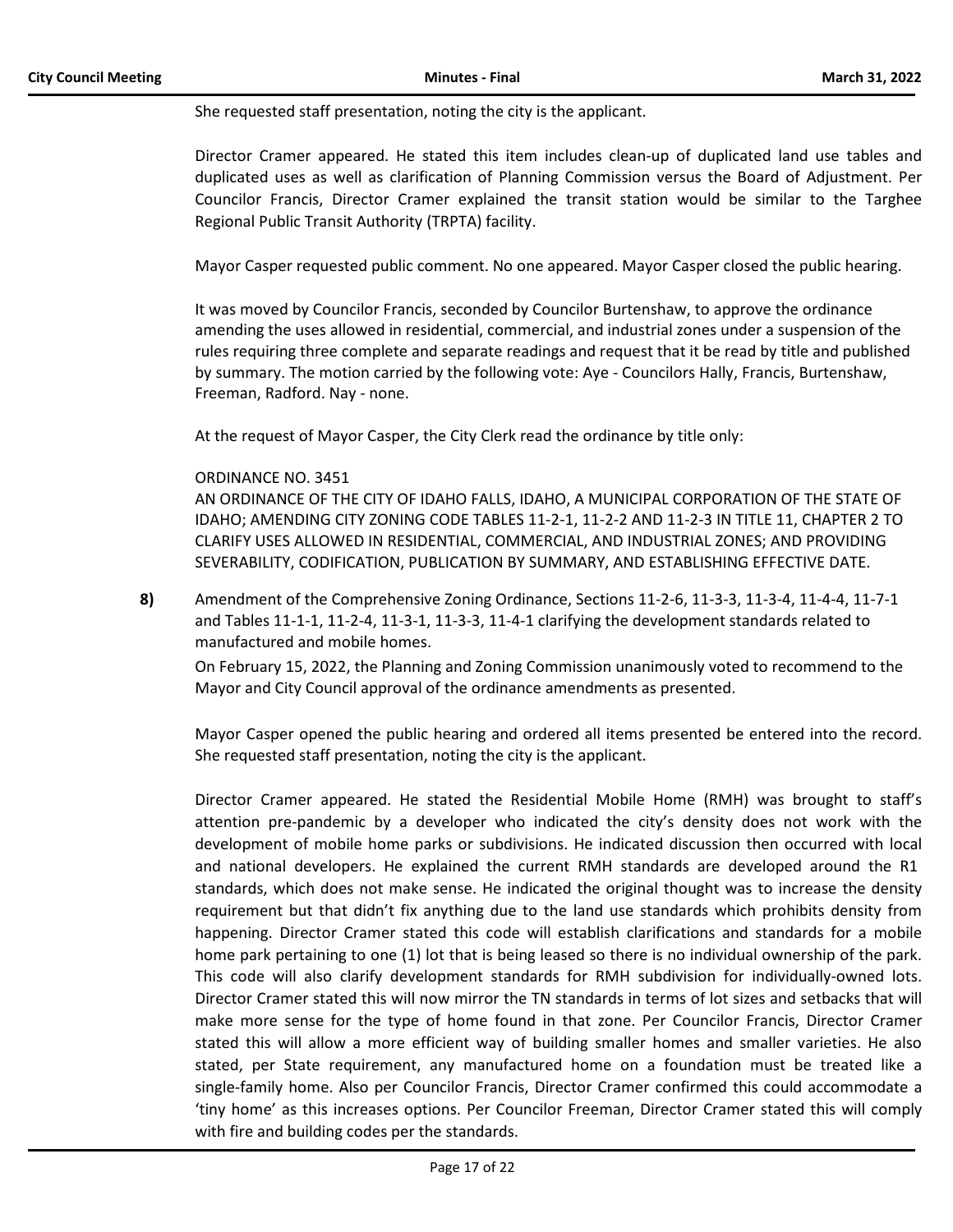She requested staff presentation, noting the city is the applicant.

Director Cramer appeared. He stated this item includes clean-up of duplicated land use tables and duplicated uses as well as clarification of Planning Commission versus the Board of Adjustment. Per Councilor Francis, Director Cramer explained the transit station would be similar to the Targhee Regional Public Transit Authority (TRPTA) facility.

Mayor Casper requested public comment. No one appeared. Mayor Casper closed the public hearing.

It was moved by Councilor Francis, seconded by Councilor Burtenshaw, to approve the ordinance amending the uses allowed in residential, commercial, and industrial zones under a suspension of the rules requiring three complete and separate readings and request that it be read by title and published by summary. The motion carried by the following vote: Aye - Councilors Hally, Francis, Burtenshaw, Freeman, Radford. Nay - none.

At the request of Mayor Casper, the City Clerk read the ordinance by title only:

#### ORDINANCE NO. 3451

AN ORDINANCE OF THE CITY OF IDAHO FALLS, IDAHO, A MUNICIPAL CORPORATION OF THE STATE OF IDAHO; AMENDING CITY ZONING CODE TABLES 11-2-1, 11-2-2 AND 11-2-3 IN TITLE 11, CHAPTER 2 TO CLARIFY USES ALLOWED IN RESIDENTIAL, COMMERCIAL, AND INDUSTRIAL ZONES; AND PROVIDING SEVERABILITY, CODIFICATION, PUBLICATION BY SUMMARY, AND ESTABLISHING EFFECTIVE DATE.

**8)** Amendment of the Comprehensive Zoning Ordinance, Sections 11-2-6, 11-3-3, 11-3-4, 11-4-4, 11-7-1 and Tables 11-1-1, 11-2-4, 11-3-1, 11-3-3, 11-4-1 clarifying the development standards related to manufactured and mobile homes.

On February 15, 2022, the Planning and Zoning Commission unanimously voted to recommend to the Mayor and City Council approval of the ordinance amendments as presented.

Mayor Casper opened the public hearing and ordered all items presented be entered into the record. She requested staff presentation, noting the city is the applicant.

Director Cramer appeared. He stated the Residential Mobile Home (RMH) was brought to staff's attention pre-pandemic by a developer who indicated the city's density does not work with the development of mobile home parks or subdivisions. He indicated discussion then occurred with local and national developers. He explained the current RMH standards are developed around the R1 standards, which does not make sense. He indicated the original thought was to increase the density requirement but that didn't fix anything due to the land use standards which prohibits density from happening. Director Cramer stated this code will establish clarifications and standards for a mobile home park pertaining to one (1) lot that is being leased so there is no individual ownership of the park. This code will also clarify development standards for RMH subdivision for individually-owned lots. Director Cramer stated this will now mirror the TN standards in terms of lot sizes and setbacks that will make more sense for the type of home found in that zone. Per Councilor Francis, Director Cramer stated this will allow a more efficient way of building smaller homes and smaller varieties. He also stated, per State requirement, any manufactured home on a foundation must be treated like a single-family home. Also per Councilor Francis, Director Cramer confirmed this could accommodate a 'tiny home' as this increases options. Per Councilor Freeman, Director Cramer stated this will comply with fire and building codes per the standards.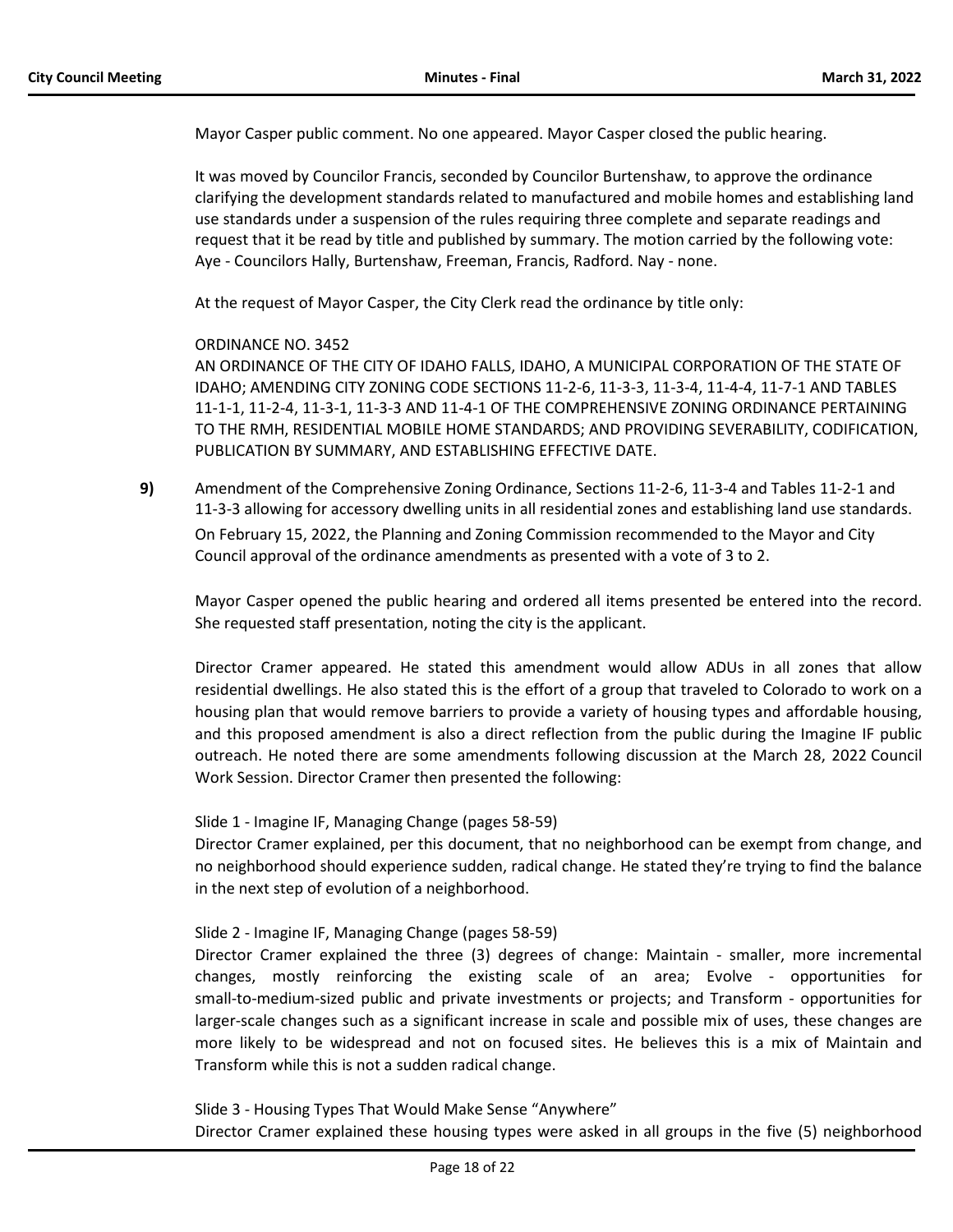Mayor Casper public comment. No one appeared. Mayor Casper closed the public hearing.

It was moved by Councilor Francis, seconded by Councilor Burtenshaw, to approve the ordinance clarifying the development standards related to manufactured and mobile homes and establishing land use standards under a suspension of the rules requiring three complete and separate readings and request that it be read by title and published by summary. The motion carried by the following vote: Aye - Councilors Hally, Burtenshaw, Freeman, Francis, Radford. Nay - none.

At the request of Mayor Casper, the City Clerk read the ordinance by title only:

ORDINANCE NO. 3452

AN ORDINANCE OF THE CITY OF IDAHO FALLS, IDAHO, A MUNICIPAL CORPORATION OF THE STATE OF IDAHO; AMENDING CITY ZONING CODE SECTIONS 11-2-6, 11-3-3, 11-3-4, 11-4-4, 11-7-1 AND TABLES 11-1-1, 11-2-4, 11-3-1, 11-3-3 AND 11-4-1 OF THE COMPREHENSIVE ZONING ORDINANCE PERTAINING TO THE RMH, RESIDENTIAL MOBILE HOME STANDARDS; AND PROVIDING SEVERABILITY, CODIFICATION, PUBLICATION BY SUMMARY, AND ESTABLISHING EFFECTIVE DATE.

**9)** Amendment of the Comprehensive Zoning Ordinance, Sections 11-2-6, 11-3-4 and Tables 11-2-1 and 11-3-3 allowing for accessory dwelling units in all residential zones and establishing land use standards. On February 15, 2022, the Planning and Zoning Commission recommended to the Mayor and City Council approval of the ordinance amendments as presented with a vote of 3 to 2.

Mayor Casper opened the public hearing and ordered all items presented be entered into the record. She requested staff presentation, noting the city is the applicant.

Director Cramer appeared. He stated this amendment would allow ADUs in all zones that allow residential dwellings. He also stated this is the effort of a group that traveled to Colorado to work on a housing plan that would remove barriers to provide a variety of housing types and affordable housing, and this proposed amendment is also a direct reflection from the public during the Imagine IF public outreach. He noted there are some amendments following discussion at the March 28, 2022 Council Work Session. Director Cramer then presented the following:

# Slide 1 - Imagine IF, Managing Change (pages 58-59)

Director Cramer explained, per this document, that no neighborhood can be exempt from change, and no neighborhood should experience sudden, radical change. He stated they're trying to find the balance in the next step of evolution of a neighborhood.

# Slide 2 - Imagine IF, Managing Change (pages 58-59)

Director Cramer explained the three (3) degrees of change: Maintain - smaller, more incremental changes, mostly reinforcing the existing scale of an area; Evolve - opportunities for small-to-medium-sized public and private investments or projects; and Transform - opportunities for larger-scale changes such as a significant increase in scale and possible mix of uses, these changes are more likely to be widespread and not on focused sites. He believes this is a mix of Maintain and Transform while this is not a sudden radical change.

Slide 3 - Housing Types That Would Make Sense "Anywhere"

Director Cramer explained these housing types were asked in all groups in the five (5) neighborhood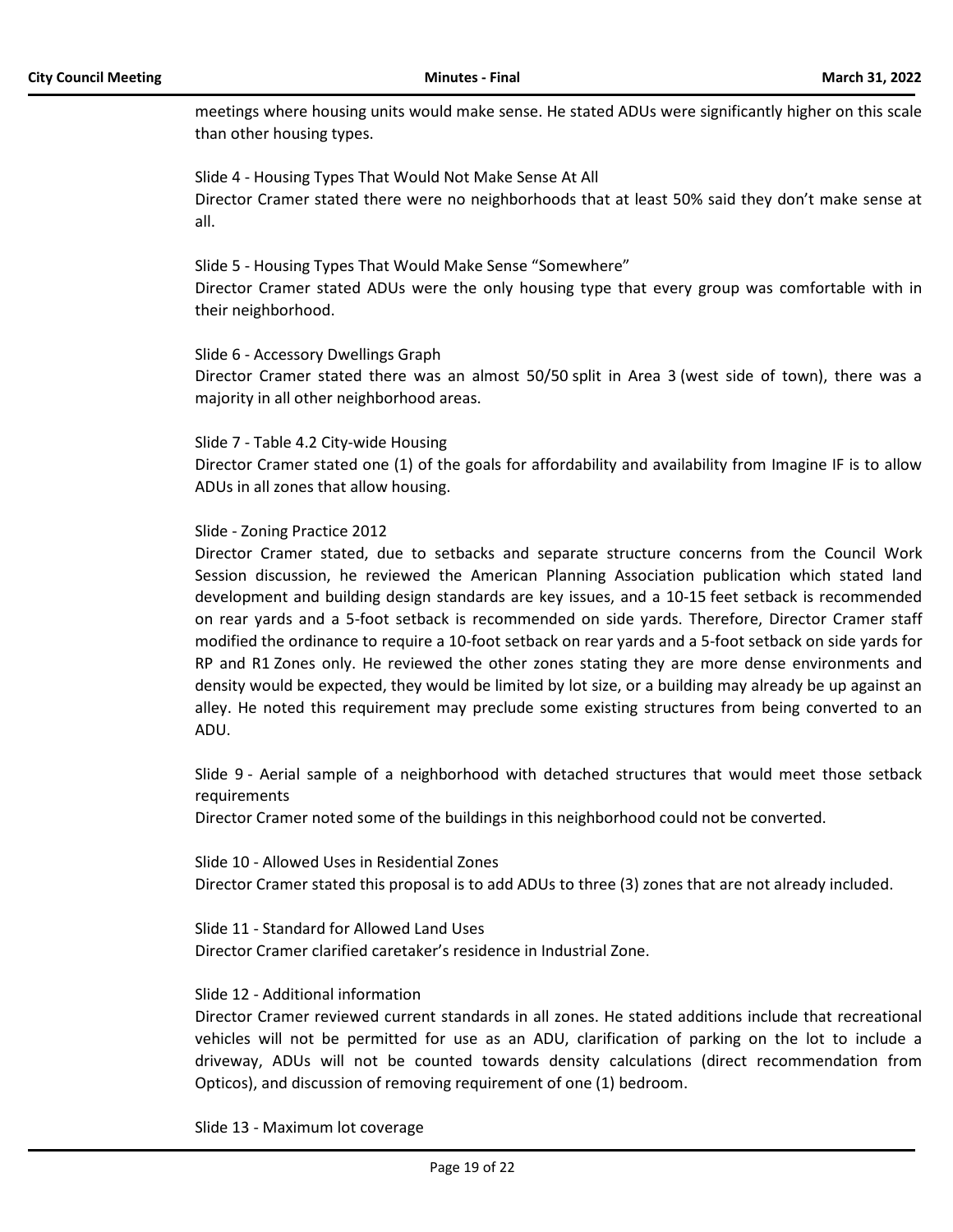meetings where housing units would make sense. He stated ADUs were significantly higher on this scale than other housing types.

Slide 4 - Housing Types That Would Not Make Sense At All Director Cramer stated there were no neighborhoods that at least 50% said they don't make sense at all.

Slide 5 - Housing Types That Would Make Sense "Somewhere"

Director Cramer stated ADUs were the only housing type that every group was comfortable with in their neighborhood.

#### Slide 6 - Accessory Dwellings Graph

Director Cramer stated there was an almost 50/50 split in Area 3 (west side of town), there was a majority in all other neighborhood areas.

#### Slide 7 - Table 4.2 City-wide Housing

Director Cramer stated one (1) of the goals for affordability and availability from Imagine IF is to allow ADUs in all zones that allow housing.

#### Slide - Zoning Practice 2012

Director Cramer stated, due to setbacks and separate structure concerns from the Council Work Session discussion, he reviewed the American Planning Association publication which stated land development and building design standards are key issues, and a 10-15 feet setback is recommended on rear yards and a 5-foot setback is recommended on side yards. Therefore, Director Cramer staff modified the ordinance to require a 10-foot setback on rear yards and a 5-foot setback on side yards for RP and R1 Zones only. He reviewed the other zones stating they are more dense environments and density would be expected, they would be limited by lot size, or a building may already be up against an alley. He noted this requirement may preclude some existing structures from being converted to an ADU.

Slide 9 - Aerial sample of a neighborhood with detached structures that would meet those setback requirements

Director Cramer noted some of the buildings in this neighborhood could not be converted.

Slide 10 - Allowed Uses in Residential Zones Director Cramer stated this proposal is to add ADUs to three (3) zones that are not already included.

Slide 11 - Standard for Allowed Land Uses

Director Cramer clarified caretaker's residence in Industrial Zone.

#### Slide 12 - Additional information

Director Cramer reviewed current standards in all zones. He stated additions include that recreational vehicles will not be permitted for use as an ADU, clarification of parking on the lot to include a driveway, ADUs will not be counted towards density calculations (direct recommendation from Opticos), and discussion of removing requirement of one (1) bedroom.

Slide 13 - Maximum lot coverage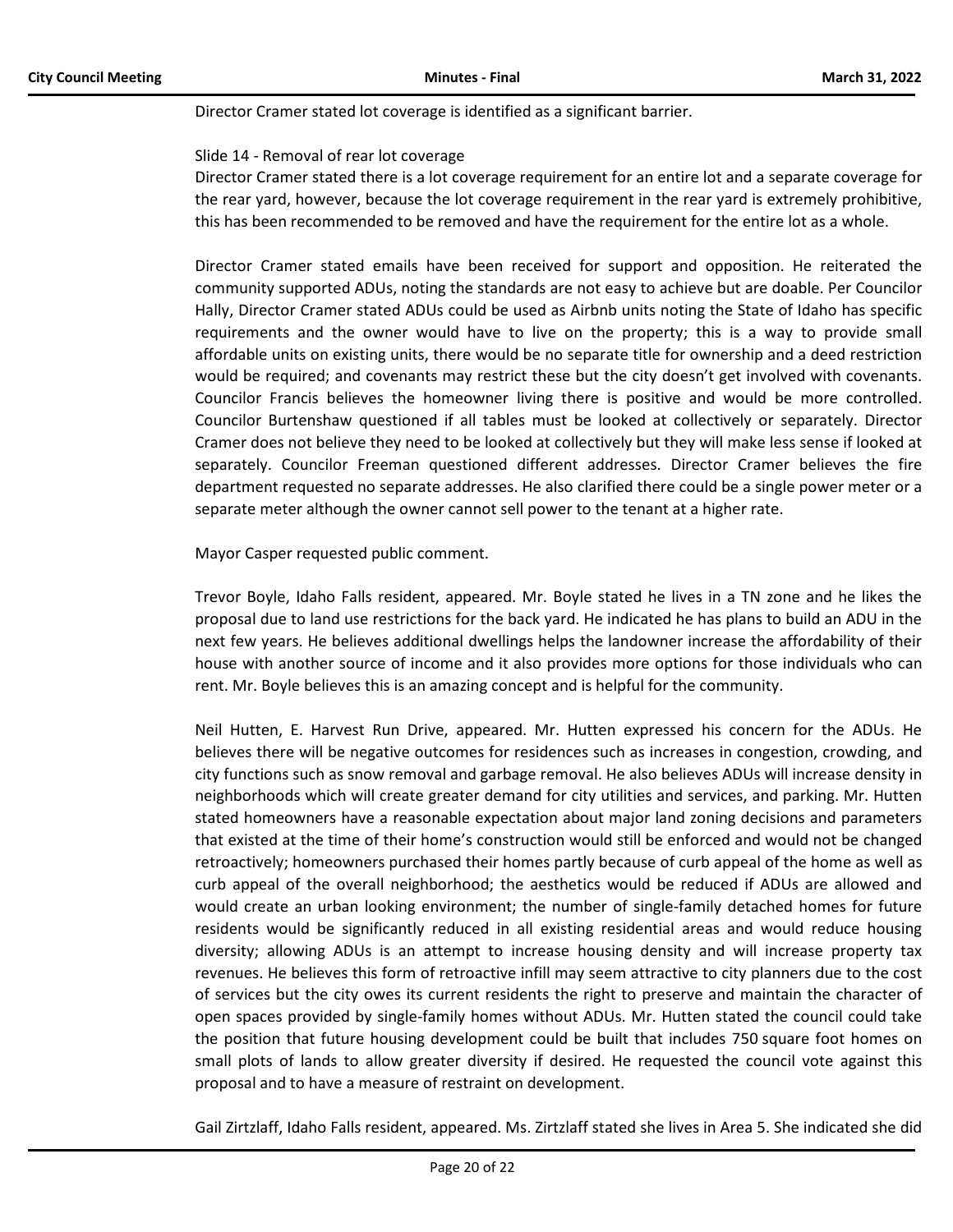Director Cramer stated lot coverage is identified as a significant barrier.

#### Slide 14 - Removal of rear lot coverage

Director Cramer stated there is a lot coverage requirement for an entire lot and a separate coverage for the rear yard, however, because the lot coverage requirement in the rear yard is extremely prohibitive, this has been recommended to be removed and have the requirement for the entire lot as a whole.

Director Cramer stated emails have been received for support and opposition. He reiterated the community supported ADUs, noting the standards are not easy to achieve but are doable. Per Councilor Hally, Director Cramer stated ADUs could be used as Airbnb units noting the State of Idaho has specific requirements and the owner would have to live on the property; this is a way to provide small affordable units on existing units, there would be no separate title for ownership and a deed restriction would be required; and covenants may restrict these but the city doesn't get involved with covenants. Councilor Francis believes the homeowner living there is positive and would be more controlled. Councilor Burtenshaw questioned if all tables must be looked at collectively or separately. Director Cramer does not believe they need to be looked at collectively but they will make less sense if looked at separately. Councilor Freeman questioned different addresses. Director Cramer believes the fire department requested no separate addresses. He also clarified there could be a single power meter or a separate meter although the owner cannot sell power to the tenant at a higher rate.

Mayor Casper requested public comment.

Trevor Boyle, Idaho Falls resident, appeared. Mr. Boyle stated he lives in a TN zone and he likes the proposal due to land use restrictions for the back yard. He indicated he has plans to build an ADU in the next few years. He believes additional dwellings helps the landowner increase the affordability of their house with another source of income and it also provides more options for those individuals who can rent. Mr. Boyle believes this is an amazing concept and is helpful for the community.

Neil Hutten, E. Harvest Run Drive, appeared. Mr. Hutten expressed his concern for the ADUs. He believes there will be negative outcomes for residences such as increases in congestion, crowding, and city functions such as snow removal and garbage removal. He also believes ADUs will increase density in neighborhoods which will create greater demand for city utilities and services, and parking. Mr. Hutten stated homeowners have a reasonable expectation about major land zoning decisions and parameters that existed at the time of their home's construction would still be enforced and would not be changed retroactively; homeowners purchased their homes partly because of curb appeal of the home as well as curb appeal of the overall neighborhood; the aesthetics would be reduced if ADUs are allowed and would create an urban looking environment; the number of single-family detached homes for future residents would be significantly reduced in all existing residential areas and would reduce housing diversity; allowing ADUs is an attempt to increase housing density and will increase property tax revenues. He believes this form of retroactive infill may seem attractive to city planners due to the cost of services but the city owes its current residents the right to preserve and maintain the character of open spaces provided by single-family homes without ADUs. Mr. Hutten stated the council could take the position that future housing development could be built that includes 750 square foot homes on small plots of lands to allow greater diversity if desired. He requested the council vote against this proposal and to have a measure of restraint on development.

Gail Zirtzlaff, Idaho Falls resident, appeared. Ms. Zirtzlaff stated she lives in Area 5. She indicated she did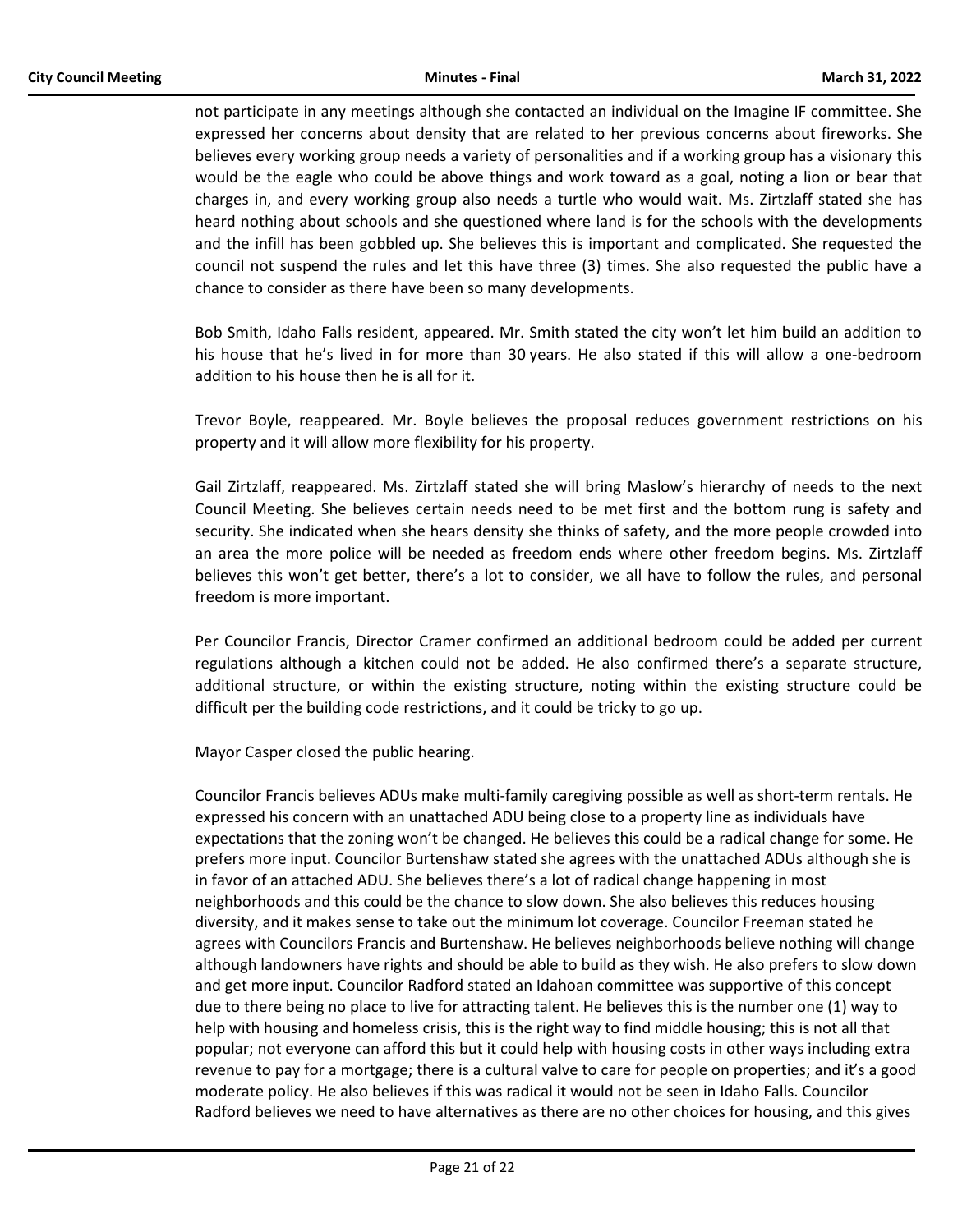not participate in any meetings although she contacted an individual on the Imagine IF committee. She expressed her concerns about density that are related to her previous concerns about fireworks. She believes every working group needs a variety of personalities and if a working group has a visionary this would be the eagle who could be above things and work toward as a goal, noting a lion or bear that charges in, and every working group also needs a turtle who would wait. Ms. Zirtzlaff stated she has heard nothing about schools and she questioned where land is for the schools with the developments and the infill has been gobbled up. She believes this is important and complicated. She requested the council not suspend the rules and let this have three (3) times. She also requested the public have a chance to consider as there have been so many developments.

Bob Smith, Idaho Falls resident, appeared. Mr. Smith stated the city won't let him build an addition to his house that he's lived in for more than 30 years. He also stated if this will allow a one-bedroom addition to his house then he is all for it.

Trevor Boyle, reappeared. Mr. Boyle believes the proposal reduces government restrictions on his property and it will allow more flexibility for his property.

Gail Zirtzlaff, reappeared. Ms. Zirtzlaff stated she will bring Maslow's hierarchy of needs to the next Council Meeting. She believes certain needs need to be met first and the bottom rung is safety and security. She indicated when she hears density she thinks of safety, and the more people crowded into an area the more police will be needed as freedom ends where other freedom begins. Ms. Zirtzlaff believes this won't get better, there's a lot to consider, we all have to follow the rules, and personal freedom is more important.

Per Councilor Francis, Director Cramer confirmed an additional bedroom could be added per current regulations although a kitchen could not be added. He also confirmed there's a separate structure, additional structure, or within the existing structure, noting within the existing structure could be difficult per the building code restrictions, and it could be tricky to go up.

Mayor Casper closed the public hearing.

Councilor Francis believes ADUs make multi-family caregiving possible as well as short-term rentals. He expressed his concern with an unattached ADU being close to a property line as individuals have expectations that the zoning won't be changed. He believes this could be a radical change for some. He prefers more input. Councilor Burtenshaw stated she agrees with the unattached ADUs although she is in favor of an attached ADU. She believes there's a lot of radical change happening in most neighborhoods and this could be the chance to slow down. She also believes this reduces housing diversity, and it makes sense to take out the minimum lot coverage. Councilor Freeman stated he agrees with Councilors Francis and Burtenshaw. He believes neighborhoods believe nothing will change although landowners have rights and should be able to build as they wish. He also prefers to slow down and get more input. Councilor Radford stated an Idahoan committee was supportive of this concept due to there being no place to live for attracting talent. He believes this is the number one (1) way to help with housing and homeless crisis, this is the right way to find middle housing; this is not all that popular; not everyone can afford this but it could help with housing costs in other ways including extra revenue to pay for a mortgage; there is a cultural valve to care for people on properties; and it's a good moderate policy. He also believes if this was radical it would not be seen in Idaho Falls. Councilor Radford believes we need to have alternatives as there are no other choices for housing, and this gives